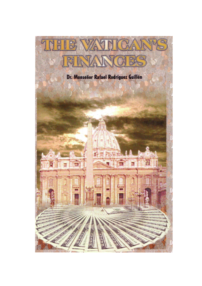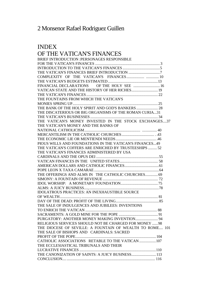# 2 Monsenor Rafael Rodriguez Guillen

### INDEX

### OF THE VATICAN'S FINANCES

| BRIEF INTRODUCTION : PERSONAGES RESPONSIBLE              |  |
|----------------------------------------------------------|--|
|                                                          |  |
|                                                          |  |
|                                                          |  |
|                                                          |  |
|                                                          |  |
| FINANCIAL DECLARATIONS OF THE HOLY SEE  16               |  |
| VATICAN STATE AND THE HISTORY OF HER RICHES 19           |  |
|                                                          |  |
| THE FOUNTAINS FROM WHICH THE VATICAN'S                   |  |
|                                                          |  |
| THE BANK OF THE HOLY SPIRIT AND GOD'S BANKERS  28        |  |
| THE DISCATERIOUS OR BIG ORGANISMS OF THE ROMAN CURIA31   |  |
|                                                          |  |
| THE VATICAN'S MONEY INVESTED IN THE STOCK EXCHANGES37    |  |
| THE VATICAN'S MONEY AND THE BANKS OF                     |  |
|                                                          |  |
|                                                          |  |
|                                                          |  |
| PIOUS WILLS AND FOUNDATIONS IN THE VATICAN'S FINANCES49  |  |
| THE VATICAN'S COFFERS ARE ENRICHED BY TRUSTEESHIPS  52   |  |
| THE VATICAN'S FINANCES ADMINISTERED BY USA               |  |
|                                                          |  |
|                                                          |  |
|                                                          |  |
|                                                          |  |
| THE OFFERINGS AND ALMS IN THE CATHOLIC CHURCHES 69       |  |
|                                                          |  |
|                                                          |  |
|                                                          |  |
| <b>IDOLATROUS PRACTICES: AN INEXHAUSTIBLE SOURCE</b>     |  |
|                                                          |  |
|                                                          |  |
| THE SALE OF INDULGENCES AND JUBILEES: INVENTIONS         |  |
|                                                          |  |
|                                                          |  |
|                                                          |  |
| RELIGIOUS SERVICES SHOULD NOT BE CHARGED FOR MONEY 98    |  |
| THE DIOCESE OF SEVILLE: A FOUNTAIN OF WEALTH TO ROME 101 |  |
| THE SALE OF BISHOPS AND CARDINALS: SACRED                |  |
|                                                          |  |
| CATHOLIC ASSOCIATIONS RETABLE TO THE VATICAN  107        |  |
| THE ECCLESIASTICAL TRIBUNALS AND THEIR                   |  |
|                                                          |  |
| THE CANONIZATION OF SAINTS: A JUICY BUSINESS 113         |  |
|                                                          |  |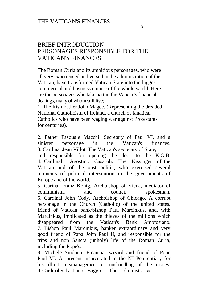### BRIEF INTRODUCTION PERSONAGES RESPONSIBLE FOR THE VATICAN'S FINANCES

The Roman Curia and its ambitious personages, who were all very experienced and versed in the administration of the Vatican, have transformed Vatican State into the biggest commercial and business empire of the whole world. Here are the personages who take part in the Vatican's financial dealings, many of whom still live;

1. The Irish Father John Magee. (Representing the dreaded National Catholicism of Ireland, a church of fanatical Catholics who have been waging war against Protestants for centuries).

2. Father Pasquale Macchi. Secretary of Paul VI, and a sinister personage in the Vatican's finances. 3. Cardinal Jean Villot. The Vatican's secretary of State, and responsible for opening the door to the K.G.B.

4. Cardinal Agostino Casaroli. The Kissinger of the Vatican and of the oust politic, who exercised several moments of political intervention in the governments of Europe and of the world.

5. Carinal Franz Konig. Archbishop of Viena, mediator of communism, and council spokesman. 6. Cardinal John Cody. Archbishop of Chicago. A corrupt personage in the Church (Catholic) of the united states, friend of Vatican bank/bishop Paul Marcinkus, and, with Marcinkus, implicated as the thieves of the millions which disappeared from the Vatican's Bank Ambrosiano. 7. Bishop Paul Marcinkus, banker extraordinary and very good friend of Papa John Paul II, and responsible for the trips and non Sancta (unholy) life of the Roman Curia, including the Pope's.

8. Michele Sindona. Financial wizard and friend of Pope Paul VI. At present incarcerated in the NJ Penitentiary for his illicit mismanagement or mishandling of the money, 9. Cardinal Sebastiano Baggio. The administrative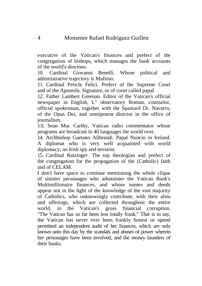executive of the Vatican's finances and prefect of the congregation of bishops, which manages the bank accounts of the world's dioceses.

10. Cardinal Giovanni Benelli. Whose political and administrative trajectory is Mafioso.

11. Cardinal Pericle Felici. Prefect of the Supreme Court and of the Apostolic Signature, or of court called papal.

12. Father Lambert Greenan. Editor of the Vatican's official newspaper in English, L" observatory Roman, counselor, official spokesman, together with the Spaniard Dr. Navarro, of the Opus Dei, and omnipotent director in the office of journalism.

13; Sean Mac Carthy. Vatican radio commentator whose programs are broadcast in 40 languages the world over.

14. Archbishop Gaetano Alibrandi. Papal Nuncio in Ireland. A diplomat who is very well acquainted with world diplomacy; an Irish spy and terrorist.

15. Cardinal Ratzinger. The top theologian and prefect of the congregation for the propagation of the (Catholic) faith and of CELAM.

I don't have space to continue mentioning the whole clique of sinister personages who administer the Vatican Bank's Multimillionaire finances, and whose names and deeds appear not in the light of the knowledge of the vast majority of Catholics, who unknowingly contribute, with their alms and offerings, which are collected throughout the entire world, to the Vatican's gross financial corruption. "The Vatican has so far been less totally frank." That is to say, the Vatican has never ever been frankly honest or opend permitted an independent audit of her finances, which are only known unto this day by the scandals and abuses of power wherein her personages have been involved, and the money launders of their banks.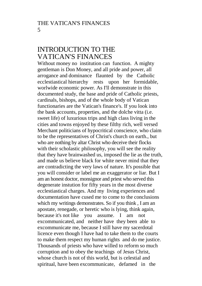### INTRODUCTION TO THE VATICAN'S FINANCES

Without money no institution can function. A mighty gentleman is Don Money, and all pride and power, all arrogance and dominance flaunted by the Catholic ecclestiastical hierarchy rests upon her formidable, ecclestiastical hierarchy rests worlwide economic power. As I'll demonstrate in this documented study, the base and pride of Catholic priests, cardinals, bishops, and of the whole body of Vatican functionaries are the Vatican's finance's. If you look into the bank accounts, properties, and the dolche vitta (i.e. sweet life) of luxurious trips and high class living in the cities and towns enjoyed by these filthy rich, well versed Merchant politicians of hypocritical conscience, who claim to be the representatives of Christ's church on earth., but who are nothing by altar Christ who deceive their flocks with their scholastic philosophy, you will see the reality that they have brainwashed us, imposed the lie as the truth, and made us believe black for white never mind that they are contradicting the very laws of nature. It's possible that you will consider or label me an exaggerator or liar. But I am an honest doctor, monsignor and priest who served this degenerate instution for fifty years in the most diverse ecclestiastical charges. And my living experiences and documentation have cused me to come to the conclusions which my writings demonstrates. So if you think , I am an apostate, renegade, or heretic who is lying, think again, because it's not like you assume. I am not excommunicated, and neither have they been able to excommunicate me, because I still have my sacerdotal licence even though I have had to take them to the courts to make them respect my human rights and do me justice. Thousands of priests who have willed to reform so much corruption and to obey the teachings of Jesus Christ, whose church is not of this world, but is celestial and spiritual, have been excommunicate, defamed in the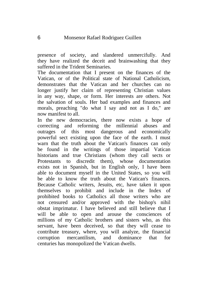presence of society, and slandered unmercifully. And they have realized the deceit and brainwashing that they suffered in the Trident Seminaries.

The documentation that I present on the finances of the Vatican, or of the Political state of National Catholicism, demonstrates that the Vatican and her churches can no longer justify her claim of representing Christian values in any way, shape, or form. Her interests are others. Not the salvation of souls. Her bad examples and finances and morals, preaching "do what I say and not as I do," are now manifest to all.

In the new democracies, there now exists a hope of correcting and reforming the millennial abuses and outrages of this most dangerous and economically powerful sect existing upon the face of the earth. I must warn that the truth about the Vatican's finances can only be found in the writings of those impartial Vatican historians and true Christians (whom they call sects or Protestants to discredit them), whose documentation exists not in Spanish, but in English only, I have been able to document myself in the United States, so you will be able to know the truth about the Vatican's finances. Because Catholic writers, Jesuits, etc, have taken it upon themselves to prohibit and include in the Index of prohibited books to Catholics all those writers who are not censured and/or approved with the bishop's nihil obstat imprimatur. I have believed and still believe that I will be able to open and arouse the consciences of millions of my Catholic brothers and sisters who, as this servant, have been deceived, so that they will cease to contribute treasury, where, you will analyze, the financial corruption mercantilism, and dominance that for centuries has monopolized the Vatican dwells.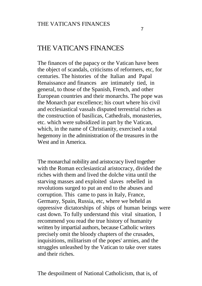## THE VATICAN'S FINANCES

The finances of the papacy or the Vatican have been the object of scandals, criticisms of reformers, etc, for centuries. The histories of the Italian and Papal Renaissance and finances are intimately tied, in general, to those of the Spanish, French, and other European countries and their monarchs. The pope was the Monarch par excellence; his court where his civil and ecclesiastical vassals disputed terrestrial riches as the construction of basilicas, Cathedrals, monasteries, etc. which were subsidized in part by the Vatican, which, in the name of Christianity, exercised a total hegemony in the administration of the treasures in the West and in America.

The monarchal nobility and aristocracy lived together with the Roman ecclesiastical aristocracy, divided the riches with them and lived the dolche vitta until the starving masses and exploited slaves rebelled in revolutions surged to put an end to the abuses and corruption. This came to pass in Italy, France, Germany, Spain, Russia, etc, where we beheld as oppressive dictatorships of ships of human beings were cast down. To fully understand this vital situation, I recommend you read the true history of humanity written by impartial authors, because Catholic writers precisely omit the bloody chapters of the crusades, inquisitions, militarism of the popes' armies, and the struggles unleashed by the Vatican to take over states and their riches.

The despoilment of National Catholicism, that is, of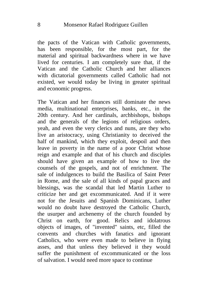the pacts of the Vatican with Catholic governments, has been responsible, for the most part, for the material and spiritual backwardness where in we have lived for centuries. I am completely sure that, if the Vatican and the Catholic Church and her alliances with dictatorial governments called Catholic had not existed, we would today be living in greater spiritual and economic progress.

The Vatican and her finances still dominate the news media, multinational enterprises, banks, etc., in the 20th century. And her cardinals, archbishops, bishops and the generals of the legions of religious orders, yeah, and even the very clerics and nuns, are they who live an aristocracy, using Christianity to deceived the half of mankind, which they exploit, despoil and then leave in poverty in the name of a poor Christ whose reign and example and that of his church and disciples should have given an example of how to live the counsels of the gospels, and not of enrichment. The sale of indulgences to build the Basilica of Saint Peter in Rome, and the sale of all kinds of papal graces and blessings, was the scandal that led Martin Luther to criticize her and get excommunicated. And if it were not for the Jesuits and Spanish Dominicans, Luther would no doubt have destroyed the Catholic Church, the usurper and archenemy of the church founded by Christ on earth, for good. Relics and idolatrous objects of images, of "invented" saints, etc, filled the convents and churches with fanatics and ignorant Catholics, who were even made to believe in flying asses, and that unless they believed it they would suffer the punishment of excommunicated or the loss of salvation. I would need more space to continue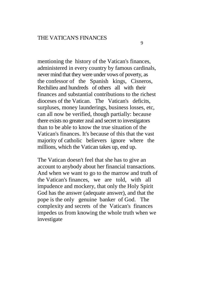mentioning the history of the Vatican's finances, administered in every country by famous cardinals, never mind that they were under vows of poverty, as the confessor of the Spanish kings, Cisneros, Rechilieu and hundreds of others all with their finances and substantial contributions to the richest dioceses of the Vatican. The Vatican's deficits, surpluses, money launderings, business losses, etc, can all now be verified, though partially: because there exists no greater zeal and secret to investigators than to be able to know the true situation of the Vatican's finances. It's because of this that the vast majority of catholic believers ignore where the millions, which the Vatican takes up, end up.

The Vatican doesn't feel that she has to give an account to anybody about her financial transactions. And when we want to go to the marrow and truth of the Vatican's finances, we are told, with all impudence and mockery, that only the Holy Spirit God has the answer (adequate answer), and that the pope is the only genuine banker of God. The complexity and secrets of the Vatican's finances impedes us from knowing the whole truth when we investigate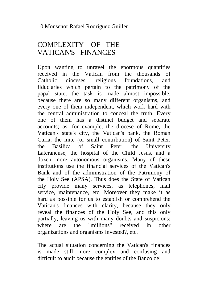# COMPLEXITY OF THE VATICAN'S FINANCES

Upon wanting to unravel the enormous quantities received in the Vatican from the thousands of Catholic dioceses, religious foundations, and fiduciaries which pertain to the patrimony of the papal state, the task is made almost impossible, because there are so many different organisms, and every one of them independent, which work hard with the central administration to conceal the truth. Every one of them has a distinct budget and separate accounts; as, for example, the diocese of Rome, the Vatican's state's city, the Vatican's bank, the Roman Curia, the mite (or small contribution) of Saint Peter, the Basilica of Saint Peter, the University Lateranense, the hospital of the Child Jesus, and a dozen more autonomous organisms. Many of these institutions use the financial services of the Vatican's Bank and of the administration of the Patrimony of the Holy See (APSA). Thus does the State of Vatican city provide many services, as telephones, mail service, maintenance, etc. Moreover they make it as hard as possible for us to establish or comprehend the Vatican's finances with clarity, because they only reveal the finances of the Holy See, and this only partially, leaving us with many doubts and suspicions: where are the "millions" received in other organizations and organisms invested?, etc.

The actual situation concerning the Vatican's finances is made still more complex and confusing and difficult to audit because the entities of the Banco del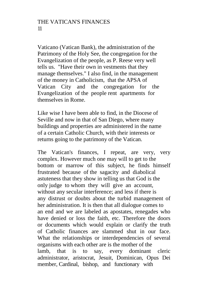Vaticano (Vatican Bank), the administration of the Patrimony of the Holy See, the congregation for the Evangelization of the people, as P. Reese very well tells us. "Have their own in vestments that they manage themselves." I also find, in the management of the money in Catholicism, that the APSA of Vatican City and the congregation for the Evangelization of the people rent apartments for themselves in Rome.

Like wise I have been able to find, in the Diocese of Seville and now in that of San Diego, where many buildings and properties are administered in the name of a certain Catholic Church, with their interests or returns going to the patrimony of the Vatican.

The Vatican's finances, I repeat, are very, very complex. However much one may will to get to the bottom or marrow of this subject, he finds himself frustrated because of the sagacity and diabolical astuteness that they show in telling us that God is the only judge to whom they will give an account, without any secular interference; and less if there is any distrust or doubts about the turbid management of her administration. It is then that all dialogue comes to an end and we are labeled as apostates, renegades who have denied or loss the faith, etc. Therefore the doors or documents which would explain or clarify the truth of Catholic finances are slammed shut in our face. What the relationships or interdependencies of several organisms with each other are is the mother of the lamb, that is to say, every dominant cleric administrator, aristocrat, Jesuit, Dominican, Opus Dei member, Cardinal, bishop, and functionary with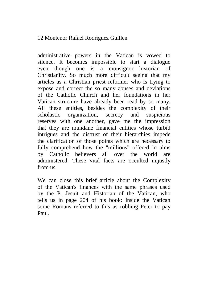#### 12 Montenor Rafael Rodriguez Guillen

administrative powers in the Vatican is vowed to silence. It becomes impossible to start a dialogue even though one is a monsignor historian of Christianity. So much more difficult seeing that my articles as a Christian priest reformer who is trying to expose and correct the so many abuses and deviations of the Catholic Church and her foundations in her Vatican structure have already been read by so many. All these entities, besides the complexity of their scholastic organization, secrecy and suspicious reserves with one another, gave me the impression that they are mundane financial entities whose turbid intrigues and the distrust of their hierarchies impede the clarification of those points which are necessary to fully comprehend how the "millions" offered in alms by Catholic believers all over the world are administered. These vital facts are occulted unjustly from us.

We can close this brief article about the Complexity of the Vatican's finances with the same phrases used by the P. Jesuit and Historian of the Vatican, who tells us in page 204 of his book: Inside the Vatican some Romans referred to this as robbing Peter to pay Paul.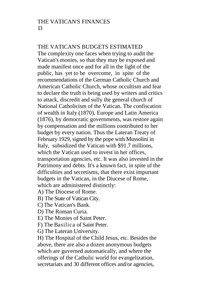#### THE VATICAN'S BUDGETS ESTIMATED

The complexity one faces when trying to audit the Vatican's monies, so that they may be exposed and made manifest once and for all in the light of the public, has yet to be overcome, in spite of the recommendations of the German Catholic Church and American Catholic Church, whose occultism and fear to declare the truth is being used by writers and critics to attack, discredit and sully the general church of National Catholicism of the Vatican. The confiscation of wealth in Italy (1870), Europe and Latin America (1876), by democratic governments, was restore again by compensation and the millions contributed to her budget by every nation. Thus the Lateran Treaty of February 1929, signed by the pope with Mussolini in Italy, subsidized the Vatican with \$91.7 millions, which the Vatican used to invest in her offices, transportation agencies, etc. It was also invested in the Patrimony and debts. It's a knuwn fact, in spite uf the difficulties and secretisms, that there exist impurtant budgets in the Vatican, in the Diucese of Rome, which are administered distinctly:

A) The Diocese of Rome.

B) The State of Vatican City.

C) The Vatican's Bank.

- D) The Roman Curia.
- E) The Monies of Saint Peter.

F) The Basilica of Saint Peter.

G) The Lateran University.

H) The Hospital of the Child Jesus, etc. Besides the above, there are also a dozen anonymous budgets which are guverned automatically, and where the offerings of the Cathulic world for evangelization, secretariats and 30 different offices and/or agencies,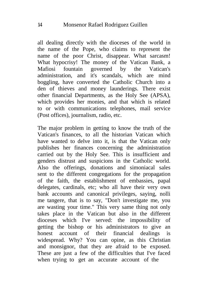all dealing directly with the dioceses of the world in the name of the Pope, who claims to represent the name of the poor Christ, disappear. What sarcasm! What hypocrisy! The money of the Vatican Bank, a Mafiosi fountain governed by the Vatican's administration, and it's scandals, which are mind boggling, have converted the Catholic Church into a den of thieves and money launderings. There exist other financial Departments, as the Holy See (APSA), which provides her monies, and that which is related to or with communications telephones, mail service (Post offices), journalism, radio, etc.

The major problem in getting to know the truth of the Vatican's finances, to all the historian Vatican which have wanted to delve into it, is that the Vatican only publishes her finances concerning the administration carried out by the Holy See. This is insufficient and genders distrust and suspicions in the Catholic world. Also the offerings, donations and simoniacal sales sent to the different congregations for the propagation of the faith, the establishment of embassies, papal delegates, cardinals, etc; who all have their very own bank accounts and canonical privileges, saying, nolli me tangere, that is to say, "Don't investigate me, you are wasting your time." This very same thing not only takes place in the Vatican but also in the different dioceses which I've served: the impossibility of getting the bishop or his administrators to give an honest account of their financial dealings is widespread. Why? You can opine, as this Christian and monsignor, that they are afraid to be exposed. These are just a few of the difficulties that I've faced when trying to get an accurate account of the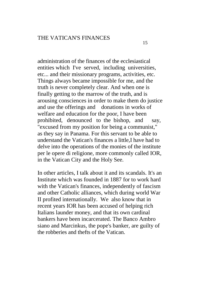administration of the finances of the ecclesiastical entities which I've served, including universities, etc... and their missionary programs, activities, etc. Things always became impossible for me, and the truth is never completely clear. And when one is finally getting to the marrow of the truth, and is arousing consciences in order to make them do justice and use the offerings and donations in works of welfare and education for the poor, I have been prohibited, denounced to the bishop, and say, "excused from my position for being a communist," as they say in Panama. For this servant to be able to understand the Vatican's finances a little,I have had to delve into the operations of the monies of the institute per le opere di religione, more commonly called IOR, in the Vatican City and the Holy See.

In other articles, I talk about it and its scandals. It's an Institute which was founded in 1887 for to work hard with the Vatican's finances, independently of fascism and other Catholic alliances, which during world War II profited internationally. We also know that in recent years IOR has been accused of helping rich Italians launder money, and that its own cardinal bankers have been incarcerated. The Banco Ambro siano and Marcinkus, the pope's banker, are guilty of the robberies and thefts of the Vatican.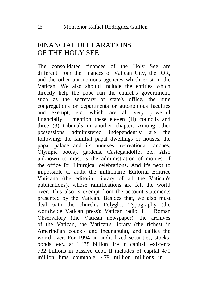## FINANCIAL DECLARATIONS OF THE HOLY SEE

The consolidated finances of the Holy See are different from the finances of Vatican City, the IOR, and the other autonomous agencies which exist in the Vatican. We also should include the entities which directly help the pope run the church's government, such as the secretary of state's office, the nine congregations or departments or autonomous faculties and exempt, etc, which are all very powerful financially. I mention these eleven (II) councils and three (3) tribunals in another chapter. Among other possessions administered independently are the following: the familial papal dwellings or houses, the papal palace and its annexes, recreational ranches, Olympic pools), gardens, Castegandolfo, etc. Also unknown to most is the administration of monies of the office for Liturgical celebrations. And it's next to impossible to audit the millionaire Editorial Editrice Vaticana (the editorial library of all the Vatican's publications), whose ramifications are felt the world over. This also is exempt from the account statements presented by the Vatican. Besides that, we also must deal with the church's Polyglot Typography (the worldwide Vatican press): Vatican radio, L " Roman Observatory (the Vatican newspaper), the archives of the Vatican, the Vatican's library (the richest in Amerindian codex's and incunabula), and dailies the world over. For 1994 an audit fixed securities, stocks, bonds, etc., at 1.438 billion lire in capital, existents 732 billions in passive debt. It includes of capital 470 million liras countable, 479 million millions in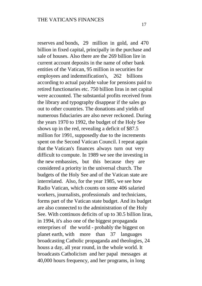billion in fixed capital, principally in the purchase and sale of houses. Also there are the 269 billion lire in current account deposits in the name of other bank entities of the Vatican, 95 million in securities for employees and indemnification's, 262 billions according to actual payable value for pensions paid to retired functionaries etc. 750 billion liras in net capital were accounted. The substantial profits received from the library and typography disappear if the sales go out to other countries. The donations and yields of numerous fiduciaries are also never reckoned. During the years 1970 to 1992, the budget of the Holy See shows up in the red, revealing a deficit of \$87.5 million for 1991, supposedly due to the increments spent on the Second Vatican Council. I repeat again that the Vatican's finances always turn out very difficult to compute. In 1989 we see the investing in the new embassies, but this because they are considered a priority in the universal church. The budgets of the Holy See and of the Vatican state are interrelated. Also, for the year 1985, we see how Radio Vatican, which counts on some 406 salaried workers, journalists, professionals and technicians, forms part of the Vatican state budget. And its budget are also connected to the administration of the Holy See. With continuos deficits of up to 30.5 billion liras, in 1994, it's also one of the biggest propaganda enterprises of the world - probably the biggest on planet earth, with more than 37 languages broadcasting Catholic propaganda and theologies, 24 houss a day, all year round, in the whole world. It broadcasts Catholicism and her papal messages at 40,000 hours frequency, and her programs, in long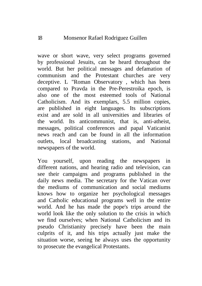wave or short wave, very select programs governed by professional Jesuits, can be heard throughout the world. But her political messages and defamation of communism and the Protestant churches are very deceptive. L "Roman Observatory , which has been compared to Pravda in the Pre-Perestroika epoch, is also one of the most esteemed tools of National Catholicism. And its exemplars, 5.5 million copies, are published in eight languages. Its subscriptions exist and are sold in all universities and libraries of the world. Its anticommunist, that is, anti-atheist, messages, political conferences and papal Vaticanist news reach and can be found in all the information outlets, local broadcasting stations, and National newspapers of the world.

You yourself, upon reading the newspapers in different nations, and hearing radio and television, can see their campaigns and programs published in the daily news media. The secretary for the Vatican over the mediums of communication and social mediums knows how to organize her psychological messages and Catholic educational programs well in the entire world. And he has made the pope's trips around the world look like the only solution to the crisis in which we find ourselves; when National Catholicism and its pseudo Christianity precisely have been the main culprits of it, and his trips actually just make the situation worse, seeing he always uses the opportunity to prosecute the evangelical Protestants.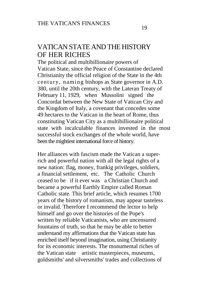# VATICAN STATE AND THE HISTORY OF HER RICHES

The political and multibillionaire powers of Vatican State, since the Peace of Constantine declared Christianity the official religion of the State in the 4th century, naming bishops as State governor in A.D. 380, until the 20th century, with the Lateran Treaty of February 11, 1929, when Mussolini signed the Concordat between the New State of Vatican City and the Kingdom of Italy, a covenant that concedes some 49 hectares to the Vatican in the heart of Rome, thus constituting Vatican City as a multibillionaire political state with incalculable finances invested in the most successful stock exchanges of the whole world, have been the mightiest international force of history.

Her alliances with fascism made the Vatican a superrich and powerful nation with all the legal rights of a new nation: flag, money, frankig privileges, soldiers, a financial settlement, etc. The Catholic Church ceased to be if it ever was a Christian Church and became a powerful Earthly Empire called Roman Catholic state. This brief article, which resumes 1700 years of the history of romanism, may appear tasteless or invalid. Therefore I recommend the lector to help himself and go over the histories of the Pope's written by reliable Vaticanists, who are uncensured fountains of truth, so that he may be able to better understand my affirmations that the Vatican state has enriched itself beyond imagination, using Christianity for its economic interests. The monumental riches of the Vatican state artistic masterpieces, museums, goldsmiths' and silversmiths' trades and collections of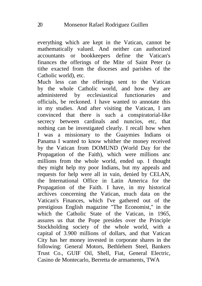everything which are kept in the Vatican, cannot be mathematically valued. And neither can authorized accountants or bookkeepers define the Vatican's finances the offerings of the Mite of Saint Peter (a tithe exacted from the dioceses and parishes of the Catholic world), etc.

Much less can the offerings sent to the Vatican by the whole Catholic world, and how they are administered by ecclesiastical functionaries and officials, be reckoned. I have wanted to annotate this in my studies. And after visiting the Vatican, I am convinced that there is such a conspiratorial-like secrecy between cardinals and nuncios, etc, that nothing can be investigated clearly. I recall how when I was a missionary to the Guaymies Indians oi Panama I wanted to know whither the money received by the Vatican from DOMUND (World Day for the Propagation of the Faith), which were millions anc millions from the whole world, ended up. I thought they might help my poor Indians, but my appeals and requests for help were all in vain, denied by CELAN, the International Office in Latin America for the Propagation of the Faith. I have, in my historical archives concerning the Vatican, much data on the Vatican's Finances, which I've gathered out of the prestigious English magazine "The Economist," in the which the Catholic State of the Vatican, in 1965, assures us that the Pope presides over the Principle Stockholding society of the whole world, with a capital of 3.900 millions of dollars, and that Vatican City has her money invested in corporate shares in the following: General Motors, Bethlehem Steel, Bankers Trust Co., GUIF Oil, Shell, Fiat, General Electric, Casino de Montecarlo, Berretta de armaments, TWA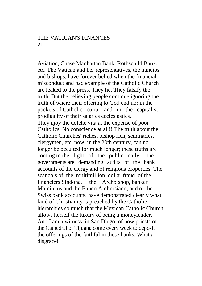#### THE VATICAN'S FINANCES  $21$

Aviation, Chase Manhattan Bank, Rothschild Bank, etc. The Vatican and her representatives, the nuncios and bishops, have forever belied when the financial misconduct and bad example of the Catholic Church are leaked to the press. They lie. They falsify the truth. But the believing people continue ignoring the truth of where their offering to God end up: in the pockets of Catholic curia; and in the capitalist prodigality of their salaries ecclesiastics. They njoy the dolche vita at the expense of poor Catholics. No conscience at all!! The truth about the Catholic Churches' riches, bishop rich, seminaries, clergymen, etc, now, in the 20th century, can no longer be occulted for much longer; these truths are coming to the light of the public daily: the governments are demanding audits of the bank accounts of the clergy and of religious properties. The scandals of the multimillion dollar fraud of the financiers Sindona, the Archbishop, banker Marcinkus and the Banco Ambrosiano, and of the Swiss bank accounts, have demonstrated clearly what kind of Christianity is preached by the Catholic hierarchies so much that the Mexican Catholic Church allows herself the luxury of being a moneylender. And I am a witness, in San Diego, of how priests of the Cathedral of Tijuana come every week to deposit the offerings of the faithful in these banks. What a disgrace!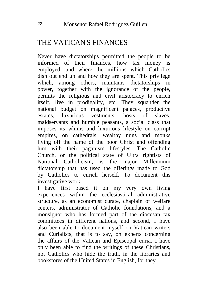# THE VATICAN'S FINANCES

Never have dictatorships permitted the people to be informed of their finances, how tax money is employed, and where the millions which Catholics dish out end up and how they are spent. This privilege which, among others, maintains dictatorships in power, together with the ignorance of the people, permits the religious and civil aristocracy to enrich itself, live in prodigality, etc. They squander the national budget on magnificent palaces, productive estates, luxurious vestments, hosts of slaves, maidservants and humble peasants, a social class that imposes its whims and luxurious lifestyle on corrupt empires, on cathedrals, wealthy nuns and monks living off the name of the poor Christ and offending him with their paganism lifestyles. The Catholic Church, or the political state of Ultra rightists of National Catholicism, is the major Millennium dictatorship that has used the offerings made to God by Catholics to enrich herself. To document this investigative work.

I have first based it on my very own living experiences within the ecclesiastical administrative structure, as an economist curate, chaplain of welfare centers, administrator of Catholic foundations, and a monsignor who has formed part of the diocesan tax committees in different nations, and second, I have also been able to document myself on Vatican writers and Curialists, that is to say, on experts concerning the affairs of the Vatican and Episcopal curia. I have only been able to find the writings of these Christians, not Catholics who hide the truth, in the libraries and bookstores of the United States in English, for they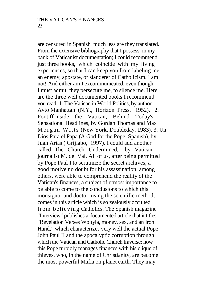are censured in Spanish much less are they translated. From the extensive bibliography that I possess, in my bank of Vaticanist documentation; I could recommend just three books, which coincide with my living experiences, so that I can keep you from labeling me an enemy, apostate, or slanderer of Catholicism. I am not! And either am I excommunicated, even though, I must admit, they persecute me, to silence me. Here are the three well documented books I recommend you read: 1. The Vatican in World Politics, by author Avto Manhattan (N.Y., Horizon Press, 1952). 2. Pontiff Inside the Vatican, Behind Today's Sensational Headlines, by Gordan Thomas and Max Morgan Witts (New York, Doubleday, 1983). 3. Un Dios Para el Papa (A God for the Pope; Spanish), by Juan Arias ( Grijlabo, 1997). I could add another called "The Church Undermined," by Vatican journalist M. del Val. All of us, after being permitted by Pope Paul I to scrutinize the secret archives, a good motive no doubt for his assassination, among others, were able to comprehend the reality of the Vatican's finances, a subject of utmost importance to be able to come to the conclusions to which this monsignor and doctor, using the scientific method, comes in this article which is so zealously occulted from believing Catholics. The Spanish magazine "Interview" publishes a documented article that it titles "Revelation Verses Wojtyla, money, sex, and an Iron Hand," which characterizes very well the actual Pope John Paul II and the apocalyptic corruption through which the Vatican and Catholic Church traverse; how this Pope turbidly manages finances with his clique of thieves, who, in the name of Christianity, are become the most powerful Mafia on planet earth. They may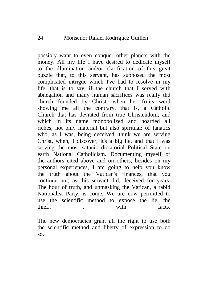possibly want to even conquer other planets with the money. All my life I have desired to dedicate myself to the illumination and/or clarification of this great puzzle that, to this servant, has supposed the most complicated intrigue which I've had to resolve in my life, that is to say, if the church that I served with abnegation and many human sacrifices was really thd church founded by Christ, when her fruits werd showing me all the contrary, that is, a Catholic Church that has deviated from true Christendom; and which in its name monopolized and hoarded all riches, not only material but also spiritual: of fanatics who, as I was, being deceived, think we are serving Christ, when, I discover, it's a big lie, and that I was serving the most satanic dictatorial Political State on earth National Catholicism. Documenting myself or the authors cited above and on others, besides on my personal experiences, I am going to help you know the truth about the Vatican's finances, that you continue not, as this servant did, deceived for years. The hour of truth, and unmasking the Vatican, a rabid Nationalist Party, is come. We are now permitted to use the scientific method to expose the lie, the thief.. The contracts is the contract of the contracts.

The new democracies grant all the right to use both the scientific method and liberty of expression to do so.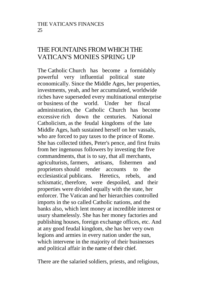## THE FOUNTAINS FROM WHICH THE VATICAN'S MONIES SPRING UP

The Catholic Church has become a formidably powerful very influential political state economically. Since the Middle Ages, her properties, investments, yeah, and her accumulated, worldwide riches have superseded every multinational enterprise or business of the world. Under her fiscal administration, the Catholic Church has become excessive rich down the centuries. National Catholicism, as the feudal kingdoms of the late Middle Ages, hath sustained herself on her vassals, who are forced to pay taxes to the prince of Rome. She has collected tithes, Peter's pence, and first fruits from her ingenuous followers by investing the five commandments, that is to say, that all merchants, agriculturists, farmers, artisans, fishermen and proprietors should render accounts to the ecclesiastical publicans. Heretics, rebels, and schismatic, therefore, were despoiled, and their properties were divided equally with the state, her enforcer. The Vatican and her hierarchies controlled imports in the so called Catholic nations, and the banks also, which lent money at incredible interest or usury shamelessly. She has her money factories and publishing houses, foreign exchange offices, etc. And at any good feudal kingdom, she has her very own legions and armies in every nation under the sun, which intervene in the majority of their businesses and political affair in the name of their chief.

There are the salaried soldiers, priests, and religious,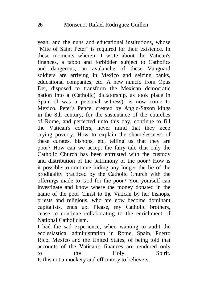yeah, and the nuns and educational institutions, whose "Mite of Saint Peter" is required for their existence. In these moments wherein I write about the Vatican's finances, a taboo and forbidden subject to Catholics and dangerous, an avalanche of these Vanguard soldiers are arriving in Mexico and seizing banks, educational companies, etc. A new nuncio from Opus Dei, disposed to transform the Mexican democratic nation into a (Catholic) dictatorship, as took place in Spain (I was a personal witness), is now come to Mexico. Peter's Pence, created by Anglo-Saxon kings in the 8th century, for the sustenance of the churches of Rome, and perfected unto this day, continue to fill the Vatican's coffers, never mind that they keep crying poverty. How to explain the shamelessness of these curates, bishops, etc, telling us that they are poor? How can we accept the fairy tale that only the Catholic Church has been entrusted with the custody and distribution of the patrimony of the poor? How is it possible to continue hiding any longer the lie of the prodigality practiced by the Catholic Church with the offerings made to God for the poor? You yourself can investigate and know where the money donated in the name of the poor Christ to the Vatican by her bishops, priests and religious, who are now become dominant capitalists, ends up. Please, my Catholic brothers, cease to continue collaborating to the enrichment of National Catholicism.

I had the sad experience, when wanting to audit the ecclesiastical administration in Rome, Spain, Puerto Rico, Mexico and the United States, of being told that accounts of the Vatican's finances are rendered only to the Holy Spirit. Is this not a mockery and effrontery to believers,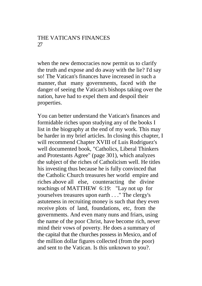when the new democracies now permit us to clarify the truth and expose and do away with the lie? I'd say so! The Vatican's finances have increased in such a manner, that many governments, faced with the danger of seeing the Vatican's bishops taking over the nation, have had to expel them and despoil their properties.

You can better understand the Vatican's finances and formidable riches upon studying any of the books I list in the biography at the end of my work. This may be harder in my brief articles. In closing this chapter, I will recommend Chapter XVIII of Luis Rodriguez's well documented book, "Catholics, Liberal Thinkers and Protestants Agree" (page 301), which analyzes the subject of the riches of Catholicism well. He titles his investing thus because he is fully convinced that the Catholic Church treasures her world empire and riches above all else, counteracting the divine teachings of MATTHEW 6:19: "Lay not up for yourselves treasures upon earth . . ." The clergy's astuteness in recruiting money is such that they even receive plots of land, foundations, etc, from the governments. And even many nuns and friars, using the name of the poor Christ, have become rich, never mind their vows of poverty. He does a summary of the capital that the churches possess in Mexico, and of the million dollar figures collected (from the poor) and sent to the Vatican. Is this unknown to you?.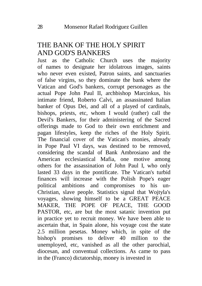## THE BANK OF THE HOLY SPIRIT AND GOD'S BANKERS

Just as the Catholic Church uses the majority of names to designate her idolatrous images, saints who never even existed, Patron saints, and sanctuaries of false virgins, so they dominate the bank where the Vatican and God's bankers, corrupt personages as the actual Pope John Paul II, archbishop Marcinkus, his intimate friend, Roberto Calvi, an assassinated Italian banker of Opus Dei, and all of a played of cardinals, bishops, priests, etc, whom I would (rather) call the Devil's Bankers, for their administering of the Sacred offerings made to God to their own enrichment and pagan lifestyles, keep the riches of the Holy Spirit. The financial cover of the Vatican's monies, already in Pope Paul VI days, was destined to be removed, considering the scandal of Bank Ambrosiano and the American ecclesiastical Mafia, one motive among others for the assassination of John Paul I, who only lasted 33 days in the pontificate. The Vatican's turbid finances will increase with the Polish Pope's eager political ambitions and compromises to his un-Christian, slave people. Statistics signal that Wojtyla's voyages, showing himself to be a GREAT PEACE MAKER, THE POPE OF PEACE, THE GOOD PASTOR, etc, are but the most satanic invention put in practice yet to recruit money. We have been able to ascertain that, in Spain alone, his voyage cost the state 2.5 million pesetas. Money which, in spite of the bishop's promises to deliver 40 million to the unemployed, etc, vanished as all the other parochial, diocesan, and conventual collections. As came to pass in the (Franco) dictatorship, money is invested in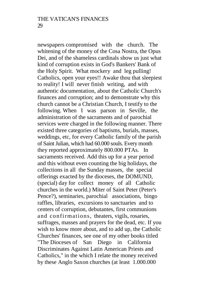newspapers compromised with the church. The whitening of the money of the Cosa Nostra, the Opus Dei, and of the shameless cardinals show us just what kind of corruption exists in God's Bankers' Bank of the Holy Spirit. What mockery and leg pulling! Catholics, open your eyes!! Awake thou that sleepiest to reality! I will never finish writing, and with authentic documentation, about the Catholic Church's finances and corruption; and to demonstrate why this church cannot be a Christian Church, I testify to the following. When I was parson in Seville, the administration of the sacraments and of parochial services were charged in the following manner. There existed three categories of baptisms, burials, masses, weddings, etc, for every Catholic family of the parish of Saint Julian, which had 60.000 souls. Every month they reported approximately 800.000 PTAs. In sacraments received. Add this up for a year period and this without even counting the big holidays, the collections in all the Sunday masses, the special offerings exacted by the dioceses, the DOMUND, (special) day for collect money of all Catholic churches in the world.) Miter of Saint Peter (Peter's Pence?), seminaries, parochial associations, bingo raffles, libraries, excursions to sanctuaries and to centers of corruption, debutantes, first communions and confirmations, theaters, vigils, rosaries, suffrages, masses and prayers for the dead, etc. If you wish to know more about, and to add up, the Catholic Churches' finances, see one of my other books titled "The Dioceses of San Diego in California Discriminates Against Latin American Priests and Catholics," in the which I relate the money received by these Anglo Saxon churches (at least 1.000.000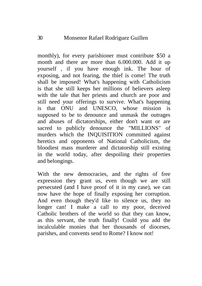monthly), for every parishioner must contribute \$50 a month and there are more than 6.000.000. Add it up yourself , if you have enough ink. The hour of exposing, and not fearing, the thief is come! The truth shall be imposed! What's happening with Catholicism is that she still keeps her millions of believers asleep with the tale that her priests and church are poor and still need your offerings to survive. What's happening is that ONU and UNESCO, whose mission is supposed to be to denounce and unmask the outrages and abuses of dictatorships, either don't want or are sacred to publicly denounce the "MILLIONS" of murders which the INQUISITION committed against heretics and opponents of National Catholicism, the bloodiest mass murderer and dictatorship still existing in the world today, after despoiling their properties and belongings.

With the new democracies, and the rights of free expression they grant us, even though we are still persecuted (and I have proof of it in my case), we can now have the hope of finally exposing her corruption. And even though they'd like to silence us, they no longer can! I make a call to my poor, deceived Catholic brothers of the world so that they can know, as this servant, the truth finally! Could you add the incalculable monies that her thousands of dioceses, parishes, and convents send to Rome? I know not!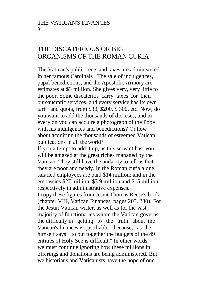# THE DISCATERIOUS OR BIG ORGANISMS OF THE ROMAN CURIA

The Vatican's public rents and taxes are administered in her famous Cardinals . The sale of indulgences, papal benedictions, and the Apostolic Armory are estimates at \$3 million. She gives very, very little to the poor. Some discaterios carry taxes for their bureaucratic services, and every service has its own tariff and quota, from \$30, \$200, \$ 300, etc. Now, do you want to add the thousands of dioceses, and in every on you can acquire a photograph of the Pope with his indulgences and benedictions? Or how about acquiring the thousands of esteemed Vatican publications in all the world?

If you attempt to add it up, as this servant has, you will be amazed at the great riches managed by the Vatican. They still have the audacity to tell us that they are poor and needy. In the Roman curia alone, salaried employees are paid \$14 million; and in the embassies \$27 million, \$3.9 million and \$15 million respectively in administrative expenses.

I copy these figures from Jesuit Thomas Reese's book (chapter VIII, Vatican Finances, pages 203. 230). For the Jesuit Vatican writer, as well as for the vast majority of functionaries whom the Vatican governs, the difficulty in getting to the truth about the Vatican's finances is justifiable, because, as he himself says: "to put together the budgets of the 49 entities of Holy See is difficult." In other words, we must continue ignoring how these millions in offerings and donations are being administered. But we historians and Vaticanists have the hope of one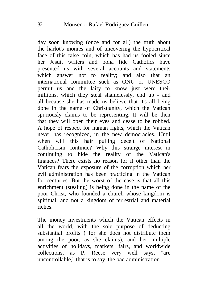day soon knowing (once and for all) the truth about the harlot's monies and of uncovering the hypocritical face of this false coin, which has had us fooled since her Jesuit writers and bona fide Catholics have presented us with several accounts and statements which answer not to reality; and also that an international committee such as ONU or UNESCO permit us and the laity to know just were their millions, which they steal shamelessly, end up - and all because she has made us believe that it's all being done in the name of Christianity, which the Vatican spuriously claims to be representing. It will be then that they will open their eyes and cease to be robbed. A hope of respect for human rights, which the Vatican never has recognized, in the new democracies. Until when will this hair pulling deceit of National Catholicism continue? Why this strange interest in continuing to hide the reality of the Vatican's finances? There exists no reason for it other than the Vatican fears the exposure of the corruption which her evil administration has been practicing in the Vatican for centuries. But the worst of the case is that all this enrichment (stealing) is being done in the name of the poor Christ, who founded a church whose kingdom is spiritual, and not a kingdom of terrestrial and material riches.

The money investments which the Vatican effects in all the world, with the sole purpose of deducting substantial profits ( for she does not distribute them among the poor, as she claims), and her multiple activities of holidays, markets, fairs, and worldwide collections, as P. Reese very well says, "are uncontrollable," that is to say, the bad administration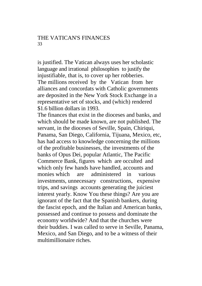is justified. The Vatican always uses her scholastic language and irrational philosophies to justify the injustifiable, that is, to cover up her robberies. The millions received by the Vatican from her alliances and concordats with Catholic governments are deposited in the New York Stock Exchange in a representative set of stocks, and (which) rendered \$1.6 billion dollars in 1993.

The finances that exist in the dioceses and banks, and which should be made known, are not published. The servant, in the dioceses of Seville, Spain, Chiriqui, Panama, San Diego, California, Tijuana, Mexico, etc, has had access to knowledge concerning the millions of the profitable businesses, the investments of the banks of Opus Dei, popular Atlantic, The Pacific Commerce Bank, figures which are occulted and which only few hands have handled, accounts and monies which are administered in various investments, unnecessary constructions, expensive trips, and savings accounts generating the juiciest interest yearly. Know You these things? Are you are ignorant of the fact that the Spanish bankers, during the fascist epoch, and the Italian and American banks, possessed and continue to possess and dominate the economy worldwide? And that the churches were their buddies. I was called to serve in Seville, Panama, Mexico, and San Diego, and to be a witness of their multimillionaire riches.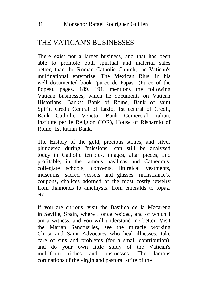# THE VATICAN'S BUSINESSES

There exist not a larger business, and that has been able to promote both spiritual and material sales better, than the Roman Catholic Church, the Vatican's multinational enterprise. The Mexican Rius, in his well documented book "puree de Papas" (Puree of the Popes), pages. 189. 191, mentions the following Vatican businesses, which he documents on Vatican Historians. Banks: Bank of Rome, Bank of saint Spirit, Credit Central of Lazio, 1st central of Credit, Bank Catholic Veneto, Bank Comercial Italian, Institute per le Religion (IOR), House of Risparnlo of Rome, 1st Italian Bank.

The History of the gold, precious stones, and silver plundered during "missions" can still be analyzed today in Catholic temples, images, altar pieces, and profitable, in the famous basilicas and Cathedrals, collegiate schools, convents, liturgical vestments, museums, sacred vessels and glasses, monstrance's, coupons, chalices adorned of the most costly jewelry from diamonds to amethysts, from emeralds to topaz, etc.

If you are curious, visit the Basilica de la Macarena in Seville, Spain, where I once resided, and of which I am a witness, and you will understand me better. Visit the Marian Sanctuaries, see the miracle working Christ and Saint Advocates who heal illnesses, take care of sins and problems (for a small contribution), and do your own little study of the Vatican's multiform riches and businesses. The famous coronations of the virgin and pastoral attire of the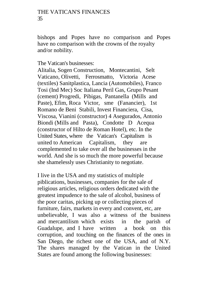#### THE VATICAN'S FINANCES 35

bishops and Popes have no comparison and Popes have no comparison with the crowns of the royalty and/or nobility.

The Vatican's businesses:

Alitalia, Sogen Construction, Montecantini, Selt Vaticano, Olivetti, Ferrosmatto, Victoria Acese (textiles) Sanitplastica, Lancia (Automobiles), Franco Tosi (Ind Mec) Soc Italiana Peril Gas, Grupo Pesant (cement) Progredi, Pibigas, Pantanella (Mills and Paste), Efim, Roca Victor, sme (Fanancier), 1st Romano de Beni Stabili, Invest Financiera, Cisa, Viscosa, Vianini (constructor) 4 Asegurados, Antonio Biondi (Mills and Pasta), Condotte D Acequa (constructor of Hilto de Roman Hotel), etc. In the United States, where the Vatican's Capitalism is united to American Capitalism, they are complemented to take over all the businesses in the world. And she is so much the more powerful because she shamelessly uses Christianity to negotiate.

I live in the USA and my statistics of multiple piblications, businesses, companies for the sale of religious articles, religious orders dedicated with the greatest impudence to the sale of alcohol, business of the poor caritas, picking up or collecting pieces of furniture, fairs, markets in every and convent, etc, are unbelievable, I was also a witness of the business and mercantilism which exists in the parish of Guadalupe, and I have written a book on this corruption, and touching on the finances of the ones in San Diego, the richest one of the USA, and of N.Y. The shares managed by the Vatican in the United States are found among the following businesses: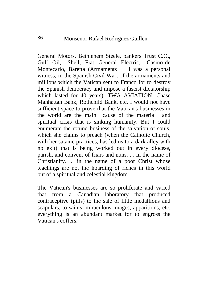General Motors, Bethlehem Steele, bankers Trust C.O., Gulf Oil, Shell, Fiat General Electric, Casino de Montecarlo, Baretta (Armaments I was a personal witness, in the Spanish Civil War, of the armaments and millions which the Vatican sent to Franco for to destroy the Spanish democracy and impose a fascist dictatorship which lasted for 40 years), TWA AVIATION, Chase Manhattan Bank, Rothchild Bank, etc. I would not have sufficient space to prove that the Vatican's businesses in the world are the main cause of the material and spiritual crisis that is sinking humanity. But I could enumerate the rotund business of the salvation of souls, which she claims to preach (when the Catholic Church, with her satanic practices, has led us to a dark alley with no exit) that is being worked out in every diocese, parish, and convent of friars and nuns. . . in the name of Christianity. ... in the name of a poor Christ whose teachings are not the hoarding of riches in this world but of a spiritual and celestial kingdom.

The Vatican's businesses are so proliferate and varied that from a Canadian laboratory that produced contraceptive (pills) to the sale of little medallions and scapulars, to saints, miraculous images, apparitions, etc. everything is an abundant market for to engross the Vatican's coffers.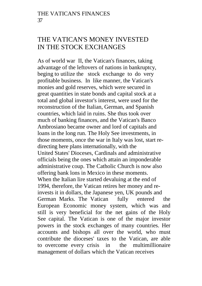### THE VATICAN'S MONEY INVESTED IN THE STOCK EXCHANGES

As of world war II, the Vatican's finances, taking advantage of the leftovers of nations in bankruptcy, beging to utilize the stock exchange to do very profitable business. In like manner, the Vatican's monies and gold reserves, which were secured in great quantities in state bonds and capital stock at a total and global investor's interest, were used for the reconstruction of the Italian, German, and Spanish countries, which laid in ruins. She thus took over much of banking finances, and the Vatican's Banco Ambrosiano became owner and lord of capitals and loans in the long run. The Holy See investments, in those moments, once the war in Italy was lost, start redirecting here plans internationally, with the United States' Dioceses, Cardinals and administrative officials being the ones which attain an imponderable administrative coup. The Catholic Church is now also offering bank lons in Mexico in these moments. When the Italian lire started devaluing at the end of 1994, therefore, the Vatican retires her money and reinvests it in dollars, the Japanese yen, UK pounds and German Marks. The Vatican fully entered the European Economic money system, which was and still is very beneficial for the net gains of the Holy See capital. The Vatican is one of the major investor powers in the stock exchanges of many countries. Her accounts and bishops all over the world, who must contribute the dioceses' taxes to the Vatican, are able to overcome every crisis in the multimillionaire management of dollars which the Vatican receives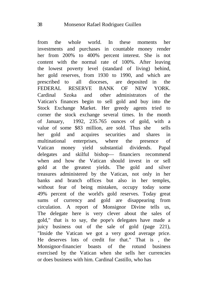from the whole world. In these moments her investments and purchases in countable money render her from 200% to 400% percent interest. She is not content with the normal rate of 100%. After leaving the lowest poverty level (standard of living) behind, her gold reserves, from 1930 to 1990, and which are prescribed to all dioceses, are deposited in the FEDERAL RESERVE BANK OF NEW YORK. Cardinal Szoka and other administrators of the Vatican's finances begin to sell gold and buy into the Stock Exchange Market. Her greedy agents tried to corner the stock exchange several times. In the month of January, 1992, 235.765 ounces of gold, with a value of some \$83 million, are sold. Thus she sells her gold and acquires securities and shares in multinational enterprises, where the presence of Vatican money yield substantial dividends. Papal delegates and skilful bishop— financiers recommend when and how the Vatican should invest in or sell gold at the greatest yields. The gold and silver treasures administered by the Vatican, not only in her banks and branch offices but also in her temples, without fear of being mistaken, occupy today some 49% percent of the world's gold reserves. Today great sums of currency and gold are disappearing from circulation. A report of Monsignor Divine tells us, The delegate here is very clever about the sales of gold," that is to say, the pope's delegates have made a juicy business out of the sale of gold (page 221), "Inside the Vatican we got a very good average price. He deserves lots of credit for that." That is , the Monsignor-financier boasts of the rotund business exercised by the Vatican when she sells her currencies or does business with him. Cardinal Castillo, who has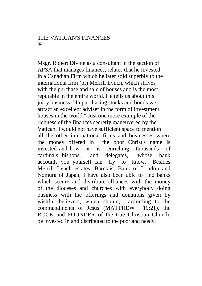#### THE VATICAN'S FINANCES 39

Msgr. Robert Divine as a consultant in the section of APSA that manages finances, relates that he invested in a Canadian Firm which he later sold superbly to the international firm (of) Merrill Lynch, which strives with the purchase and sale of houses and is the most reputable in the entire world. He tells us about this juicy business: "In purchasing stocks and bonds we attract an excellent adviser in the form of investment houses in the world." Just one more example of the richness of the finances secretly maneuvered by the Vatican. I would not have sufficient space to mention all the other international firms and businesses where the money offered in the poor Christ's name is invested and how it is enriching thousands of cardinals, bishops, and delegates, whose bank accounts you yourself can try to know. Besides Merrill Lynch estates, Barclais, Bank of London and Nomura of Japan, I have also been able to find banks which secure and distribute alliances with the money of the dioceses and churches with everybody doing business with the offerings and donations given by wishful believers, which should, according to the commandments of Jesus (MATTHEW 19:21), the ROCK and FOUNDER of the true Christian Church, be invested in and distributed to the poor and needy.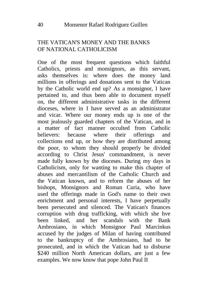### THE VATICAN'S MONEY AND THE BANKS OF NATIONAL CATHOLICISM

One of the most frequent questions which faithful Catholics, priests and monsignors, as this servant, asks themselves is: where does the money land millions in offerings and donations sent to the Vatican by the Catholic world end up? As a monsignor, I have pertained to, and thus been able to document myself on, the different administrative tasks in the different dioceses, where in I have served as an administrator and vicar. Where our money ends up is one of the most jealously guarded chapters of the Vatican, and in a matter of fact manner occulted from Catholic believers: because where their offerings and collections end up, or how they are distributed among the poor, to whom they should properly be divided according to Christ Jesus' commandment, is never made fully known by the dioceses. During my days in Catholicism, only for wanting to make this chapter of abuses and mercantilism of the Catholic Church and the Vatican known, and to reform the abuses of her bishops, Monsignors and Roman Curia, who have used the offerings made in God's name to their own enrichment and personal interests, I have perpetually been persecuted and silenced. The Vatican's finances corruption with drug trafficking, with which she hve been linked, and her scandals with the Bank Ambrosiano, in which Monsignor Paul Marcinkus accused by the judges of Milan of having contributed to the bankruptcy of the Ambrosiano, had to be prosecuted, and in which the Vatican had to disburse \$240 million North American dollars, are just a few examples. We now know that pope John Paul II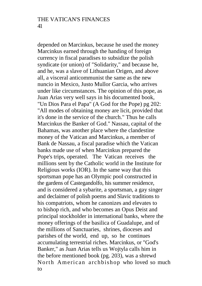depended on Marcinkus, because he used the money Marcinkus earned through the handing of foreign currency in fiscal paradises to subsidize the polish syndicate (or union) of "Solidarity," and because he, and he, was a slave of Lithuanian Origen, and above all, a visceral anticommunist the same as the new nuncio in Mexico, Justo Mullor Garcia, who arrives under like circumstances. The opinion of this pope, as Juan Arias very well says in his documented book, "Un Dios Para el Papa" (A God for the Pope) pg 202: "All modes of obtaining money are licit, provided that it's done in the service of the church." Thus he calls Marcinkus the Banker of God." Nassau, capital of the Bahamas, was another place where the clandestine money of the Vatican and Marcinkus, a member of Bank de Nassau, a fiscal paradise which the Vatican banks made use of when Marcinkus prepared the Pope's trips, operated. The Vatican receives the millions sent by the Catholic world in the Institute for Religious works (IOR). In the same way that this sportsman pope has an Olympic pool constructed in the gardens of Castegandolfo, his summer residence, and is considered a sybarite, a sportsman, a gay singer and declaimer of polish poems and Slavic traditions to his compatriots, whom he canonizes and elevates to to bishop rich, and who becomes an Opus Deist and principal stockholder in international banks, where the money offerings of the basilica of Guadalupe, and of the millions of Sanctuaries, shrines, dioceses and parishes of the world, end up, so he continues accumulating terrestrial riches. Marcinkus, or "God's Banker," as Juan Arias tells us Wojtyla calls him in the before mentioned book (pg. 203), was a shrewd North American archbishop who loved so much to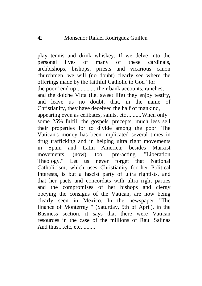play tennis and drink whiskey. If we delve into the personal lives of many of these cardinals, archbishops, bishops, priests and vicarious canon churchmen, we will (no doubt) clearly see where the offerings made by the faithful Catholic to God "for the poor" end up............. their bank accounts, ranches, and the dolche Vitta (i.e. sweet life) they enjoy testify, and leave us no doubt, that, in the name of Christianity, they have deceived the half of mankind, appearing even as celibates, saints, etc ..........When only some 25% fulfill the gospels' precepts, much less sell their properties for to divide among the poor. The Vatican's money has been implicated several times in drug trafficking and in helping ultra right movements in Spain and Latin America; besides Marxist movements (now) too, pre-acting "Liberation<br>Theology." Let us never forget that National never forget that National Catholicism, which uses Christianity for her Political Interests, is but a fascist party of ultra rightists, and that her pacts and concordats with ultra right parties and the compromises of her bishops and clergy obeying the consigns of the Vatican, are now being clearly seen in Mexico. In the newspaper "The finance of Monterrey " (Saturday, 5th of April), in the Business section, it says that there were Vatican resources in the case of the millions of Raul Salinas And thus....etc, etc..........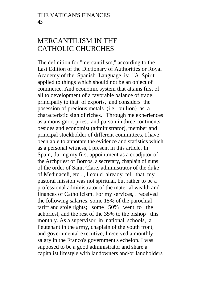## MERCANTILISM IN THE CATHOLIC CHURCHES

The definition for "mercantilism," according to the Last Edition of the Dictionary of Authorities or Royal Academy of the Spanish Language is: "A Spirit applied to things which should not be an object of commerce. And economic system that attains first of all to development of a favorable balance of trade, principally to that of exports, and considers the posession of precious metals (i.e. bullion) as a characteristic sign of riches." Through me experiences as a monsignor, priest, and parson in three continents, besides and economist (administrator), member and principal stockholder of different committees, I have been able to annotate the evidence and statistics which as a personal witness, I present in this article. In Spain, during my first appointment as a coadjutor of the Archpriest of Bornos, a secretary, chaplain of nuns of the order of Saint Clare, administrator of the duke of Medinaceli, etc..., I could already tell that my pastoral mission was not spiritual, but rather to be a professional administrator of the material wealth and finances of Catholicism. For my services, I received the following salaries: some 15% of the parochial tariff and stole rights; some 50% went to the achpriest, and the rest of the 35% to the bishop this monthly. As a supervisor in national schools, a lieutenant in the army, chaplain of the youth front, and governmental executive, I received a monthly salary in the Franco's government's echelon. I was supposed to be a good administrator and share a capitalist lifestyle with landowners and/or landholders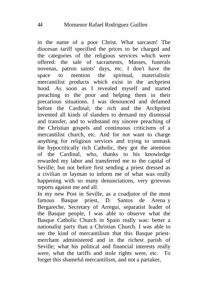in the name of a poor Christ. What sarcasm! The diocesan tariff specified the prices to be charged and the categories of the religious services which were offered: the sale of sacraments, Masses, funerals novenas, patron saints' days, etc. I don't have the space to mention the spiritual, materialistic mercantilist products which exist in the archpriest hood. As soon as I revealed myself and started preaching to the poor and helping them in their precarious situations. I was denounced and defamed before the Cardinal; the rich and the Archpriest invented all kinds of slanders to demand my dismissal and transfer, and to withstand my sincere preaching of the Christian gospels and continuous criticisms of a mercantilist church, etc. And for not want to charge anything for religious services and trying to unmask the hypocritically rich Catholic, they got the attention of the Cardinal, who, thanks to his knowledge rewarded my labor and transferred me to the capital of Seville; but not before first sending a priest dressed as a civilian or layman to inform me of what was really happening with so many denunciations, very grievous reports against me and all.

In my new Post in Seville, as a coadjutor of the most famous Basque priest, D. Santos de Arena y Bergareche, Secretary of Arregui, separatist leader of the Basque people, I was able to observe what the Basque Catholic Church in Spain really was: better a nationalist party than a Christian Church. I was able to see the kind of mercantilism that this Basque priestmerchant administered and in the richest parish of Seville; what his political and financial interests really were, what the tariffs and stole rights were, etc. To forget this shameful mercantilism, and not a partaker,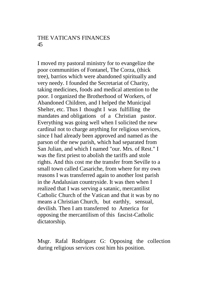#### THE VATICAN'S FINANCES 45

I moved my pastoral ministry for to evangelize the poor communities of Fontanel, The Corza, (thick tree), barrios which were abandoned spiritually and very needy. I founded the Secretariat of Charity, taking medicines, foods and medical attention to the poor. I organized the Brotherhood of Workers, of Abandoned Children, and I helped the Municipal Shelter, etc. Thus I thought I was fulfilling the mandates and obligations of a Christian pastor. Everything was going well when I solicited the new cardinal not to charge anything for religious services, since I had already been approved and named as the parson of the new parish, which had separated from San Julian, and which I named "our. Mrs. of Rest." I was the first priest to abolish the tariffs and stole rights. And this cost me the transfer from Seville to a small town called Casariche, from where for my own reasons I was transferred again to another lost parish in the Andalusian countryside. It was then when I realized that I was serving a satanic, mercantilist Catholic Church of the Vatican and that it was by no means a Christian Church, but earthly, sensual, devilish. Then I am transferred to America for opposing the mercantilism of this fascist-Catholic dictatorship.

Msgr. Rafal Rodriguez G: Opposing the collection during religious services cost him his position.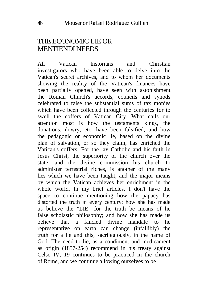### THE ECONOMIC LIE OR MENTIENDI NEEDS

All Vatican historians and Christian investigators who have been able to delve into the Vatican's secret archives, and to whom her documents showing the reality of the Vatican's finances have been partially opened, have seen with astonishment the Roman Church's accords, councils and synods celebrated to raise the substantial sums of tax monies which have been collected through the centuries for to swell the coffers of Vatican City. What calls our attention most is how the testaments kings, the donations, dowry, etc, have been falsified, and how the pedagogic or economic lie, based on the divine plan of salvation, or so they claim, has enriched the Vatican's coffers. For the lay Catholic and his faith in Jesus Christ, the superiority of the church over the state, and the divine commission his church to administer terrestrial riches, is another of the many lies which we have been taught, and the major means by which the Vatican achieves her enrichment in the whole world. In my brief articles, I don't have the space to continue mentioning how the papacy has distorted the truth in every century; how she has made us believe the "LIE" for the truth be means of he false scholastic philosophy; and how she has made us believe that a fancied divine mandate to he representative on earth can change (infallibly) the truth for a lie and this, sacrilegiously, in the name of God. The need to lie, as a condiment and medicament as origin (1857-254) recommend in his treaty against Celso IV, 19 continues to be practiced in the church of Rome, and we continue allowing ourselves to be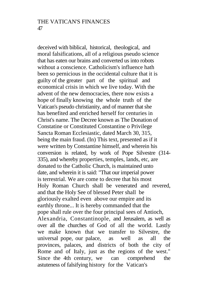deceived with biblical, historical, theological, and moral falsifications, all of a religious pseudo science that has eaten our brains and converted us into robots without a conscience. Catholicism's influence hath been so pernicious in the occidental culture that it is guilty of the greater part of the spiritual and economical crisis in which we live today. With the advent of the new democracies, there now exists a hope of finally knowing the whole truth of the Vatican's pseudo christianity, and of manner that she has benefited and enriched herself for centuries in Christ's name. The Decree known as The Donation of Constatine or Constituted Constantine o Privilege Sancta Roman Ecclesiastic, dated March 30, 315, being the main fraud. (In) This text, presented as if it were written by Constantine himself, and wherein his conversion is related, by work of Pope Silvestre (314- 335), and whereby properties, temples, lands, etc, are donated to the Catholic Church, is maintained unto date, and wherein it is said: "That our imperial power is terrestrial. We are come to decree that his most Holy Roman Church shall be venerated and revered, and that the Holy See of blessed Peter shall be gloriously exalted even above our empire and its earthly throne... It is hereby commanded that the pope shall rule over the four principal sees of Antioch, Alexandria, Constantinople, and Jerusalem, as well as over all the churches of God of all the world. Lastly we make known that we transfer to Silvestre, the universal pope, our palace, as well as all the provinces, palaces, and districts of both the city of Rome and of Italy, just as the regions of the west." Since the 4th century, we can comprehend the astuteness of falsifying history for the Vatican's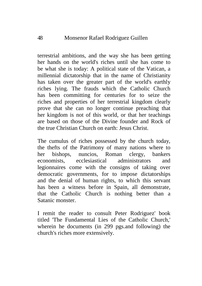terrestrial ambitions, and the way she has been getting her hands on the world's riches until she has come to be what she is today: A political state of the Vatican, a millennial dictatorship that in the name of Christianity has taken over the greater part of the world's earthly riches lying. The frauds which the Catholic Church has been committing for centuries for to seize the riches and properties of her terrestrial kingdom clearly prove that she can no longer continue preaching that her kingdom is not of this world, or that her teachings are based on those of the Divine founder and Rock of the true Christian Church on earth: Jesus Christ.

The cumulus of riches possessed by the church today, the thefts of the Patrimony of many nations where to her bishops, nuncios, Roman clergy, bankers economists, ecclesiastical administrators and legionnaires come with the consigns of taking over democratic governments, for to impose dictatorships and the denial of human rights, to which this servant has been a witness before in Spain, all demonstrate, that the Catholic Church is nothing better than a Satanic monster.

I remit the reader to consult Peter Rodriguez' book titled 'The Fundamental Lies of the Catholic Church,' wherein he documents (in 299 pgs.and following) the church's riches more extensively.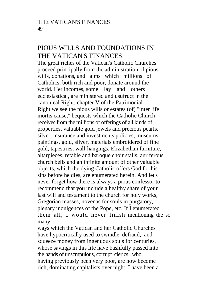## PIOUS WILLS AND FOUNDATIONS IN THE VATICAN'S FINANCES

The great riches of the Vatican's Catholic Churches proceed principally from the administration of pious wills, donations, and alms which millions of Catholics, both rich and poor, donate around the world. Her incomes, some lay and others ecclesiastical, are ministered and usufruct in the canonical Right; chapter V of the Patrimonial Right we see the pious wills or estates (of) "inter life mortis cause," bequests which the Catholic Church receives from the millions of offerings of all kinds of properties, valuable gold jewels and precious pearls, silver, insurance and investments policies, museums, paintings, gold, silver, materials embroidered of fine gold, tapestries, wall-hangings, Elizabethan furniture, altarpieces, retable and baroque choir stalls, auriferous church bells and an infinite amount of other valuable objects, which the dying Catholic offers God for his sins before he dies, are enumerated herein. And let's never forget how there is always a pious confessor to recommend that you include a healthy share of your last will and testament to the church for holy works, Gregorian masses, novenas for souls in purgatory, plenary indulgences of the Pope, etc. If I enumerated them all, I would never finish mentioning the so many

ways which the Vatican and her Catholic Churches have hypocritically used to swindle, defraud, and squeeze money from ingenuous souls for centuries, whose savings in this life have bashfully passed into the hands of unscrupulous, corrupt clerics who, having previously been very poor, are now become rich, dominating capitalists over night. I have been a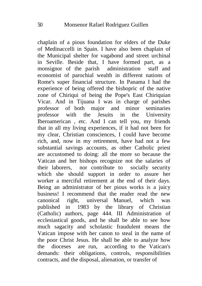chaplain of a pious foundation for elders of the Duke of Medinaccelli in Spain. I have also been chaplain of the Municipal shelter for vagabond and street urchinal in Seville. Beside that, I have formed part, as a monsignor of the parish administration staff and economist of parochial wealth in different nations of Rome's super financial structure. In Panama I had the experience of being offered the bishopric of the native zone of Chiriqui of being the Pope's East Chiriquian Vicar. And in Tijuana I was in charge of parishes professor of both major and minor seminaries professor with the Jesuits in the University Iberoamerican , etc. And I can tell you, my friends that in all my living experiences, if it had not been for my clear, Christian consciences, I could have become rich, and, now in my retirement, have had not a few substantial savings accounts, as other Catholic priest are accustomed to doing: all the more so because the Vatican and her bishops recognize not the salaries of their laborers, nor contribute to socially security which she should support in order to assure her worker a merciful retirement at the end of their days. Being an administrator of her pious works is a juicy business! I recommend that the reader read the new canonical right, universal Manuel, which was<br>published in 1983 by the library of Christian 1983 by the library of Christian (Catholic) authors, page 444. III Administration of ecclesiastical goods, and he shall be able to see how much sagacity and scholastic fraudulent means the Vatican impose with her canon to steal in the name of the poor Christ Jesus. He shall be able to analyze how the dioceses are run, according to the Vatican's demands: their obligations, controls, responsibilities contracts, and the disposal, alienation, or transfer of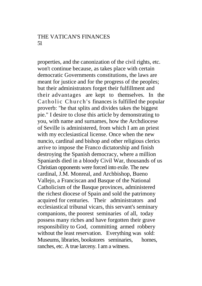#### THE VATICAN'S FINANCES 51

properties, and the canonization of the civil rights, etc. won't continue because, as takes place with certain democratic Governments constitutions, the laws are meant for justice and for the progress of the peoples; but their administrators forget their fulfillment and their advantages are kept to themselves. In the Catholic Church's finances is fulfilled the popular proverb: "he that splits and divides takes the biggest pie." I desire to close this article by demonstrating to you, with name and surnames, how the Archdiocese of Seville is administered, from which I am an priest with my ecclesiastical license. Once when the new nuncio, cardinal and bishop and other religious clerics arrive to impose the Franco dictatorship and finish destroying the Spanish democracy, where a million Spaniards died in a bloody Civil War, thousands of us Christian opponents were forced into exile. The new cardinal, J.M. Monreal, and Archbishop, Bueno Vallejo, a Franciscan and Basque of the National Catholicism of the Basque provinces, administered the richest diocese of Spain and sold the patrimony acquired for centuries. Their administrators and ecclesiastical tribunal vicars, this servant's seminary companions, the poorest seminaries of all, today possess many riches and have forgotten their grave responsibility to God, committing armed robbery without the least reservation. Everything was sold: Museums, libraries, bookstores seminaries, homes, ranches, etc. A true larceny. I am a witness.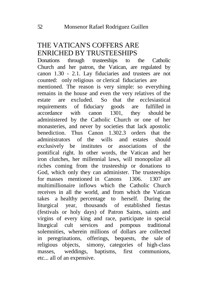# THE VATICAN'S COFFERS ARE ENRICHED BY TRUSTEESHIPS

Donations through trusteeships to the Catholic Church and her patron, the Vatican, are regulated by canon 1.30 - 2.1. Lay fiduciaries and trustees are not counted: only religious or clerical fiduciaries are mentioned. The reason is very simple: so everything remains in the house and even the very relatives of the estate are excluded. So that the ecclesiastical requirements of fiduciary goods are fulfilled in accordance with canon 1301, they should be administered by the Catholic Church or one of her monasteries, and never by societies that lack apostolic benediction. Thus Canon 1.302.3 orders that the administrators of the wills and estates should exclusively be institutes or associations of the pontifical right. In other words, the Vatican and her iron clutches, her millennial laws, will monopolize all riches coming from the trusteeship or donations to God, which only they can administer. The trusteeships for masses mentioned in Canons 1306. 1307 are multimillionaire inflows which the Catholic Church receives in all the world, and from which the Vatican takes a healthy percentage to herself. During the liturgical year, thousands of established fiestas (festivals or holy days) of Patron Saints, saints and virgins of every king and race, participate in special liturgical cult services and pompous traditional solemnities, wherein millions of dollars are collected in peregrinations, offerings, bequests, the sale of religious objects, simony, categories of high-class masses, weddings, baptisms, first communions, etc... all of an expensive.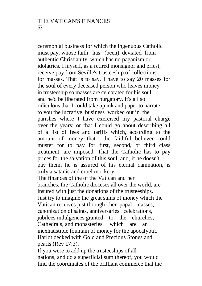ceremonial business for which the ingenuous Catholic must pay, whose faith has (been) deviated from authentic Christianity, which has no paganism or idolatries. I myself, as a retired monsignor and priest, receive pay from Seville's trusteeship of collections for masses. That is to say, I have to say 20 masses for the soul of every deceased person who leaves money in trusteeship so masses are celebrated for his soul, and he'd be liberated from purgatory. It's all so ridiculous that I could take up ink and paper to narrate to you the lucrative business worked out in the parishes where I have exercised my pastoral charge over the years; or that I could go about describing all of a list of fees and tariffs which, according to the amount of money that the faithful believer could muster for to pay for first, second, or third class treatment, are imposed. That the Catholic has to pay prices for the salvation of this soul, and, if he doesn't pay them, he is assured of his eternal damnation, is truly a satanic and cruel mockery.

The finances of the of the Vatican and her branches, the Catholic dioceses all over the world, are insured with just the donations of the trusteeships. Just try to imagine the great sums of money which the Vatican receives just through her papal masses, canonization of saints, anniversaries celebrations, jubilees indulgences granted to the churches, Cathedrals, and monasteries, which are an inexhaustible fountain of money for the apocalyptic Harlot decked with Gold and Precious Stones and pearls (Rev 17:3).

If you were to add up the trusteeships of all nations, and do a superficial sum thereof, you would find the coordinates of the brilliant commerce that the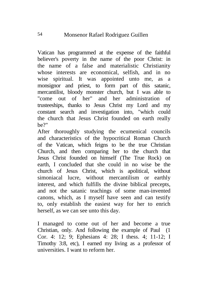Vatican has programmed at the expense of the faithful believer's poverty in the name of the poor Christ: in the name of a false and materialistic Christianity whose interests are economical, selfish, and in no wise spiritual. It was appointed unto me, as a monsignor and priest, to form part of this satanic, mercantilist, bloody monster church, but I was able to "come out of her" and her administration of trusteeships, thanks to Jesus Christ my Lord and my constant search and investigation into, "which could the church that Jesus Christ founded on earth really be?"

After thoroughly studying the ecumenical councils and characteristics of the hypocritical Roman Church of the Vatican, which feigns to be the true Christian Church, and then comparing her to the church that Jesus Christ founded on himself (The True Rock) on earth, I concluded that she could in no wise be the church of Jesus Christ, which is apolitical, without simoniacal lucre, without mercantilism or earthly interest, and which fulfills the divine biblical precepts, and not the satanic teachings of some man-invented canons, which, as I myself have seen and can testify to, only establish the easiest way for her to enrich herself, as we can see unto this day.

I managed to come out of her and become a true Christian, only. And following the example of Paul (1 Cor. 4: 12; 9; Ephesians 4: 28; I thess. 4; 11-12; I Timothy 3:8, etc), I earned my living as a professor of universities. I want to reform her.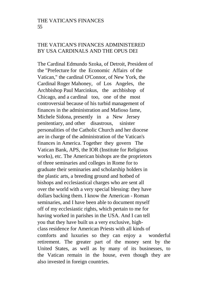#### THE VATICAN'S FINANCES ADMINISTERED BY USA CARDINALS AND THE OPUS DEI

The Cardinal Edmundo Szoka, of Detroit, President of the "Prefecture for the Economic Affairs of the Vatican," the cardinal O'Connor, of New York, the Cardinal Roger Mahoney, of Los Angeles, the Archbishop Paul Marcinkus, the archbishop of Chicago, and a cardinal too, one of the most controversial because of his turbid management of finances in the administration and Mafioso fame, Michele Sidona, presently in a New Jersey penitentiary, and other disastrous, sinister personalities of the Catholic Church and her diocese are in charge of the administration of the Vatican's finances in America. Together they govern The Vatican Bank, APS, the IOR (Institute for Religious works), etc. The American bishops are the proprietors of three seminaries and colleges in Rome for to graduate their seminaries and scholarship holders in the plastic arts, a breeding ground and hotbed of bishops and ecclesiastical charges who are sent all over the world with a very special blessing: they have dollars backing them. I know the American - Roman seminaries, and I have been able to document myself off of my ecclesiastic rights, which pertain to me for having worked in parishes in the USA. And I can tell you that they have built us a very exclusive, highclass residence for American Priests with all kinds of comforts and luxuries so they can enjoy a wonderful retirement. The greater part of the money sent by the United States, as well as by many of its businesses, to the Vatican remain in the house, even though they are also invested in foreign countries.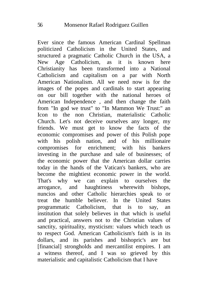Ever since the famous American Cardinal Spellman politicized Catholicism in the United States, and structured a pragmatic Catholic Church in the USA, a New Age Catholicism, as it is known here Christianity has been transformed into a National Catholicism and capitalism on a par with North American Nationalism. All we need now is for the images of the popes and cardinals to start appearing on our bill together with the national heroes of American Independence , and then change the faith from "In god we trust" to "In Mammon We Trust:" an Icon to the non Christian, materialistic Catholic Church. Let's not deceive ourselves any longer, my friends. We must get to know the facts of the economic compromises and power of this Polish pope with his polish nation, and of his millionaire compromises for enrichment; with his bankers investing in the purchase and sale of businesses; of the economic power that the American dollar carries today in the hands of the Vatican's bankers, who are become the mightiest economic power in the world. That's why we can explain to ourselves the arrogance, and haughtiness wherewith bishops, nuncios and other Catholic hierarchies speak to or treat the humble believer. In the United States programmatic Catholicism, that is to say, an institution that solely believes in that which is useful and practical, answers not to the Christian values of sanctity, spirituality, mysticism: values which teach us to respect God. American Catholicism's faith is in its dollars, and its parishes and bishopric's are but [financial] strongholds and mercantilist empires. I am a witness thereof, and I was so grieved by this materialistic and capitalistic Catholicism that I have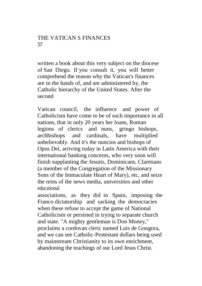written a book about this very subject on the diocese of San Diego. If you consult it, you will better comprehend the reason why the Vatican's finances are in the hands of, and are administered by, the Catholic hierarchy of the United States. After the second

Vatican council, the influence and power of Catholicism have come to be of such importance in all nations, that in only 20 years her loans, Roman legions of clerics and nuns, gringo bishops, archbishops and cardinals, have multiplied unbelievably. And it's the nuncios and bishops of Opus Dei, arriving today in Latin America with their international banking concerns, who very soon will finish supplanting the Jesuits, Dominicans, Claretians (a member of the Congregation of the Missionary Sons of the Immaculate Heart of Mary), etc, and seize the reins of the news media, universities and other educational

associations, as they did in Spain, imposing the Franco dictatorship and sacking the democracies when these refuse to accept the game of National Catholicism or persisted in trying to separate church and state. "A mighty gentleman is Don Money," proclaims a cordovan cleric named Luis de Gongora, and we can see Catholic-Protestant dollars being used by mainstream Christianity to its own enrichment, abandoning the teachings of our Lord Jesus Christ.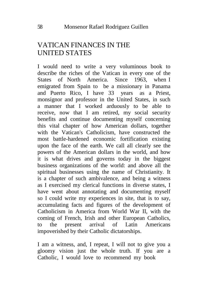# VATICAN FINANCES IN THE UNITED STATES

I would need to write a very voluminous book to describe the riches of the Vatican in every one of the States of North America. Since 1963, when I emigrated from Spain to be a missionary in Panama and Puerto Rico, I have 33 years as a Priest, monsignor and professor in the United States, in such a manner that I worked arduously to be able to receive, now that I am retired, my social security benefits and continue documenting myself concerning this vital chapter of how American dollars, together with the Vatican's Catholicism, have constructed the most battle-hardened economic fortification existing upon the face of the earth. We call all clearly see the powers of the American dollars in the world, and how it is what drives and governs today in the biggest business organizations of the world: and above all the spiritual businesses using the name of Christianity. It is a chapter of such ambivalence, and being a witness as I exercised my clerical functions in diverse states, I have went about annotating and documenting myself so I could write my experiences in site, that is to say, accumulating facts and figures of the development of Catholicism in America from World War II, with the coming of French, Irish and other European Catholics, to the present arrival of Latin Americans impoverished by their Catholic dictatorships.

I am a witness, and, I repeat, I will not to give you a gloomy vision just the whole truth. If you are a Catholic, I would love to recommend my book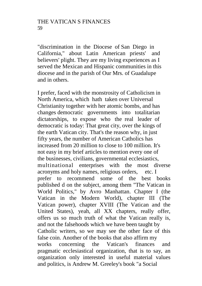"discrimination in the Diocese of San Diego in California," about Latin American priests' and believers' plight. They are my living experiences as I served the Mexican and Hispanic communities in this diocese and in the parish of Our Mrs. of Guadalupe and in others.

I prefer, faced with the monstrosity of Catholicism in North America, which hath taken over Universal Christianity together with her atomic bombs, and has changes democratic governments into totalitarian dictatorships, to expose who the real leader of democratic is today: That great city, over the kings of the earth Vatican city. That's the reason why, in just fifty years, the number of American Catholics has increased from 20 million to close to 100 million. It's not easy in my brief articles to mention every one of the businesses, civilians, governmental ecclesiastics, multinational enterprises with the most diverse acronyms and holy names, religious orders, etc. I prefer to recommend some of the best books published d on the subject, among them "The Vatican in World Politics," by Avro Manhattan. Chapter I (the Vatican in the Modern World), chapter III (The Vatican power), chapter XVIII (The Vatican and the United States), yeah, all XX chapters, really offer, offers us so much truth of what the Vatican really is, and not the falsehoods which we have been taught by Catholic writers, so we may see the other face of this false coin. Another of the books that also affirm my works concerning the Vatican's finances and pragmatic ecclesiastical organization, that is to say, an organization only interested in useful material values and politics, is Andrew M. Greeley's book "a Social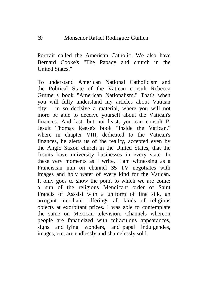Portrait called the American Catholic. We also have Bernard Cooke's "The Papacy and church in the United States."

To understand American National Catholicism and the Political State of the Vatican consult Rebecca Grumer's book "American Nationalism." That's when you will fully understand my articles about Vatican city in so decisive a material, where you will not more be able to deceive yourself about the Vatican's finances. And last, but not least, you can consult P. Jesuit Thomas Reese's book "Inside the Vatican," where in chapter VIII, dedicated to the Vatican's finances, he alerts us of the reality, accepted even by the Anglo Saxon church in the United States, that the Jesuits have university businesses in every state. In these very moments as I write, I am witnessing as a Franciscan nun on channel 35 TV negotiates with images and holy water of every kind for the Vatican. It only goes to show the point to which we are come: a nun of the religious Mendicant order of Saint Francis of Asssisi with a uniform of fine silk, an arrogant merchant offerings all kinds of religious objects at exorbitant prices. I was able to contemplate the same on Mexican television: Channels whereon people are fanaticized with miraculous appearances, signs and lying wonders, and papal indulgendes, images, etc, are endlessly and shamelessly sold.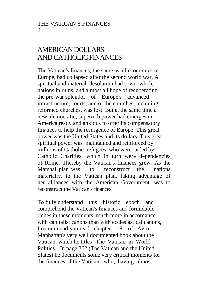# AMERICAN DOLLARS AND CATHOLIC FINANCES

The Vatican's finances, the same as all economies in Europe, had collapsed after the second world war. A spiritual and material desolation had sown whole nations in ruins, and almost all hope of recuperating the pre-war splendor of Europe's advanced infrastructure, courts, and of the churches, including reformed churches, was lost. But at the same time a new, democratic, superrich power had emerges in America ready and anxious to offer its compensatory finances to help the resurgence of Europe. This great power was the United States and its dollars. This great spiritual power was maintained and reinforced by millions of Catholic refugees who were aided by Catholic Charities, which in turn were dependencies of Rome. Thereby the Vatican's finances grew. As the Marshal plan was to reconstruct the nations materially, to the Vatican plan, taking advantage of her alliances with the American Government, was to reconstruct the Vatican's finances.

To fully understand this historic epoch and comprehend the Vatican's finances and formidable riches in these moments, much more in accordance with capitalist canons than with ecclesiastical canons, I recommend you read chapter 18 of Avro Manhattan's very well documented book about the Vatican, which he titles "The Vatican in World Politics." In page 362 (The Vatican and the United States) he documents some very critical moments for the finances of the Vatican, who, having almost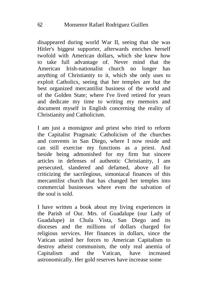disappeared during world War II, seeing that she was Hitler's biggest supporter, afterwards enriches herself twofold with American dollars, which she knew how to take full advantage of. Never mind that the American Irish-nationalist church no longer has anything of Christianity to it, which she only uses to exploit Catholics, seeing that her temples are but the best organized mercantilist business of the world and of the Golden State; where I've lived retired for years and dedicate my time to writing my memoirs and document myself in English concerning the reality of Christianity and Catholicism.

I am just a monsignor and priest who tried to reform the Capitalist Pragmatic Catholicism of the churches and convents in San Diego, where I now reside and can still exercise my functions as a priest. And beside being admonished for my firm but sincere articles in defenses of authentic Christianity, I am persecuted, slandered and defamed, above all for criticizing the sacrilegious, simoniacal finances of this mercantilist church that has changed her temples into commercial businesses where even the salvation of the soul is sold.

I have written a book about my living experiences in the Parish of Our. Mrs. of Guadalupe (our Lady of Guadalupe) in Chula Vista, San Diego and its dioceses and the millions of dollars charged for religious services. Her finances in dollars, since the Vatican united her forces to American Capitalism to destroy atheist communism, the only real anemia of Capitalism and the Vatican, have increased astronomically. Her gold reserves have increase some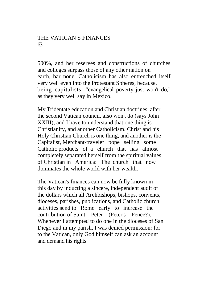### THE VATICAN S FINANCES 63

500%, and her reserves and constructions of churches and colleges surpass those of any other nation on earth, bar none. Catholicism has also entrenched itself very well even into the Protestant Spheres, because, being capitalists, "evangelical poverty just won't do," as they very well say in Mexico.

My Tridentate education and Christian doctrines, after the second Vatican council, also won't do (says John XXIII), and I have to understand that one thing is Christianity, and another Catholicism. Christ and his Holy Christian Church is one thing, and another is the Capitalist, Merchant-traveler pope selling some Catholic products of a church that has almost completely separated herself from the spiritual values of Christian in America: The church that now dominates the whole world with her wealth.

The Vatican's finances can now be fully known in this day by inducting a sincere, independent audit of the dollars which all Archbishops, bishops, convents, dioceses, parishes, publications, and Catholic church activities send to Rome early to increase the contribution of Saint Peter (Peter's Pence?). Whenever I attempted to do one in the dioceses of San Diego and in my parish, I was denied permission: for to the Vatican, only God himself can ask an account and demand his rights.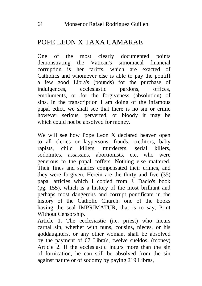### POPE LEON X TAXA CAMARAE

One of the most clearly documented points<br>demonstrating the Vatican's simoniacal financial demonstrating the Vatican's simoniacal financial corruption is her tariffs, which are exacted of Catholics and whomever else is able to pay the pontiff a few good Libra's (pounds) for the purchase of indulgences, ecclesiastic pardons, offices, emoluments, or for the forgiveness (absolution) of sins. In the transcription I am doing of the infamous papal edict, we shall see that there is no sin or crime however serious, perverted, or bloody it may be which could not be absolved for money.

We will see how Pope Leon X declared heaven open to all clerics or laypersons, frauds, creditors, baby rapists, child killers, murderers, serial killers, sodomites, assassins, abortionists, etc, who were generous to the papal coffers. Nothing else mattered. Their fines and salaries compensated their crimes, and they were forgiven. Herein are the thirty and five (35) papal articles which I copied from J. Dacio's book (pg. 155), which is a history of the most brilliant and perhaps most dangerous and corrupt pontificate in the history of the Catholic Church: one of the books having the seal IMPRIMATUR, that is to say, Print Without Censorship.

Article 1. The ecclesiastic (i.e. priest) who incurs carnal sin, whether with nuns, cousins, nieces, or his goddaughters, or any other woman, shall be absolved by the payment of 67 Libra's, twelve sueldos. (money) Article 2. If the ecclesiastic incurs more than the sin of fornication, he can still be absolved from the sin against nature or of sodomy by paying 219 Libras,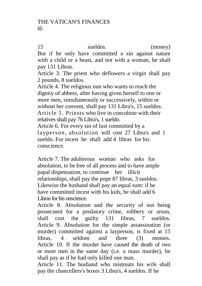15 sueldos. (money)

But if he only have committed a sin against nature with a child or a beast, and not with a woman, he shall pay 131 Libras.

Article 3. The priest who deflowers a virgin shall pay 2 pounds, 8 sueldos.

Article 4. The religious nun who wants to reach the dignity of abbess, after having given herself to one or more men, simultaneously or successively, within or without her convent, shall pay 131 Libra's, 15 sueldos. Article 5. Priests who live in concubine with their relatives shall pay 76 Libra's, 1 sueldo.

Article 6. For every sin of lust committed by a layperson, absolution will cost 27 Libra's and 1 sueldo. For incest he shall add 4 libras for his conscience.

Article 7. The adulterous woman who asks for absolution, to be free of all process and to have ample papal dispensation, to continue her illicit relationships, shall pay the pope 87 libras, 3 sueldos. Likewise the husband shall pay an equal sum: if he have committed incest with his kids, he shall add 6 Libras for his onscience.

Article 8. Absolution and the security of not being prosecuted for a predatory crime, robbery or arson, shall cost the guilty 131 libras, 7 sueldos. Article 9. Absolution for the simple assassination (or murder) committed against a layperson, is fixed at 15 libras, 4 seldom and three (3) monies. Article 10. If the murder have caused the death of two or more men in the same day (i.e. a mass murder), he shall pay as if he had only killed one man.

Article 11. The husband who mistreats his wife shall pay the chancellers's boxes 3 Libra's, 4 sueldos. If he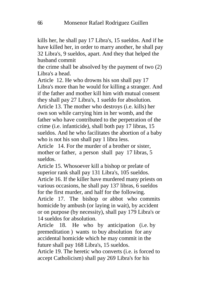kills her, he shall pay 17 Libra's, 15 sueldos. And if he have killed her, in order to marry another, he shall pay 32 Libra's, 9 sueldos, apart. And they that helped the husband commit

the crime shall be absolved by the payment of two (2) Libra's a head.

Article 12. He who drowns his son shall pay 17 Libra's more than he would for killing a stranger. And if the father and mother kill him with mutual consent they shall pay 27 Libra's, 1 sueldo for absolution. Article 13. The mother who destroys (i.e. kills) her own son while carrying him in her womb, and the father who have contributed to the perpetration of the crime (i.e. infanticide), shall both pay 17 libras, 15 sueldos. And he who facilitates the abortion of a baby who is not his son shall pay 1 libra less.

Article 14. For the murder of a brother or sister, mother or father, a person shall pay 17 libras, 5 sueldos.

Article 15. Whosoever kill a bishop or prelate of superior rank shall pay 131 Libra's, 105 sueldos. Article 16. If the killer have murdered many priests on various occasions, he shall pay 137 libras, 6 sueldos for the first murder, and half for the following. Article 17. The bishop or abbot who commits

homicide by ambush (or laying in wait), by accident or on purpose (by necessity), shall pay 179 Libra's or 14 sueldos for absolution.

Article 18. He who by anticipation (i.e. by premeditation ) wants to buy absolution for any accidental homicide which he may commit in the future shall pay 168 Libra's, 15 sueldos.

Article 19. The heretic who converts (i.e. is forced to accept Catholicism) shall pay 269 Libra's for his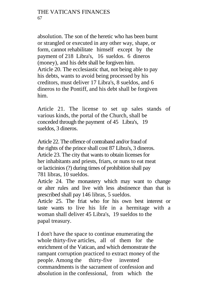#### THE VATICAN'S FINANCES 67

absolution. The son of the heretic who has been burnt or strangled or executed in any other way, shape, or form, cannot rehabilitate himself except by the payment of 218 Libra's, 16 sueldos. 6 dineros (money), and his debt shall be forgiven him. Article 20. The ecclesiastic that, not being able to pay his debts, wants to avoid being processed by his creditors, must deliver 17 Libra's, 8 sueldos, and 6 dineros to the Pontiff, and his debt shall be forgiven him.

Article 21. The license to set up sales stands of various kinds, the portal of the Church, shall be conceded through the payment of 45 Libra's, 19 sueldos, 3 dineros.

Article 22. The offence of contraband and/or fraud of the rights of the prince shall cost 87 Libra's, 3 dineros. Article 23. The city that wants to obtain licenses for her inhabitants and priests, friars, or nuns to eat meat or lacticinios (?) during times of prohibition shall pay 781 libras, 10 sueldos.

Article 24. The monastery which may want to change or alter rules and live with less abstinence than that is prescribed shall pay 146 libras, 5 sueldos.

Article 25. The friat who for his own best interest or taste wants to live his life in a hermitage with a woman shall deliver 45 Libra's, 19 sueldos to the papal treasury.

I don't have the space to continue enumerating the whole thirty-five articles, all of them for the enrichment of the Vatican, and which demonstrate the rampant corruption practiced to extract money of the people. Among the thirty-five invented commandments is the sacrament of confession and absolution in the confessional, from which the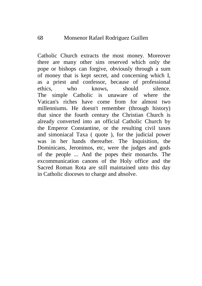Catholic Church extracts the most money. Moreover there are many other sins reserved which only the pope or bishops can forgive, obviously through a sum of money that is kept secret, and concerning which I, as a priest and confessor, because of professional ethics, who knows, should silence. The simple Catholic is unaware of where the Vatican's riches have come from for almost two millenniums. He doesn't remember (through history) that since the fourth century the Christian Church is already converted into an official Catholic Church by the Emperor Constantine, or the resulting civil taxes and simoniacal Taxa ( quote ), for the judicial power was in her hands thereafter. The Inquisition, the Dominicans, Jeronimos, etc, were the judges and gods of the people ... And the popes their monarchs. The excommunication canons of the Holy office and the Sacred Roman Rota are still maintained unto this day in Catholic dioceses to charge and absolve.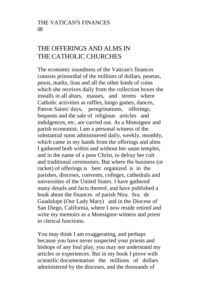# THE OFFERINGS AND ALMS IN THE CATHOLIC CHURCHES

The economic soundness of the Vatican's finances consists primordial of the millions of dollars, pesetas, pesos, marks, liras and all the other kinds of coins which she receives daily from the collection boxes she installs in all altars, masses, and streets where Catholic activities as raffles, bingo games, dances, Patron Saints' days, peregrinations, offerings, bequests and the sale of religious articles and indulgences, etc, are carried out. As a Monsignor and parish economist, I am a personal witness of the substantial sums administered daily, weekly, monthly, which came in my hands from the offerings and alms I gathered both within and without her satan temples, and in the name of a poor Christ, to defray her cult and traditional ceremonies. But where the business (or racket) of offerings is best organized is in the parishes, dioceses, convents, colleges, cathedrals and universities of the United States. I have gathered many details and facts thereof, and have published a book about the finances of parish Ntra. Sra. de Guadalupe (Our Lady Mary) and in the Diocese of San Diego, California, where I now reside retired and write my memoirs as a Monsignor-witness and priest in clerical functions.

You may think I am exaggerating, and perhaps because you have never suspected your priests and bishops of any foul play, you may not understand my articles or experiences. But in my book I prove with scientific documentation the millions of dollars administered by the dioceses, and the thousands of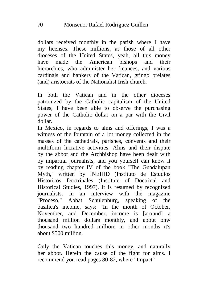dollars received monthly in the parish where I have my licenses. These millions, as those of all other dioceses of the United States, yeah, all this money have made the American bishops and their hierarchies, who administer her finances, and various cardinals and bankers of the Vatican, gringo prelates (and) aristocrats of the Nationalist Irish church.

In both the Vatican and in the other dioceses patronized by the Catholic capitalism of the United States, I have been able to observe the purchasing power of the Catholic dollar on a par with the Civil dollar.

In Mexico, in regards to alms and offerings, I was a witness of the fountain of a lot money collected in the masses of the cathedrals, parishes, convents and their multiform lucrative activities. Alms and their dispute by the abbot and the Archbishop have been dealt with by impartial journalists, and you yourself can know it by reading chapter IV of the book "The Guadalupan Myth," written by INEHID (Instituto de Estudios Historicos Doctrinales (Institute of Doctrinal and Historical Studies, 1997). It is resumed by recognized journalists. In an interview with the magazine "Proceso," Abbat Schulenburg, speaking of the basilica's income, says: "In the month of October, November, and December, income is [around] a thousand million dollars monthly, and about onw thousand two hundred million; in other months it's about \$500 million.

Only the Vatican touches this money, and naturally her abbot. Herein the cause of the fight for alms. I recommend you read pages 80-82, where "Impact"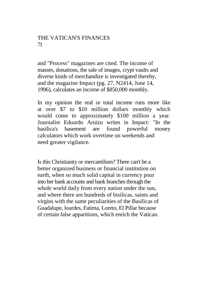### THE VATICAN'S FINANCES 71

and "Process" magazines are cited. The income of masses, donations, the sale of images, crypt vaults and diverse kinds of merchandize is investigated thereby, and the magazine Impact (pg. 27, N2414, June 14, 1996), calculates an income of \$850,000 monthly.

In my opinion the real or total income runs more like at over \$7 to \$10 million dollars monthly which would come to approximately \$100 million a year. Journalist Eduardo Aruizu writes in Impact: "In the basilica's basement are found powerful money calculators which work overtime on weekends and need greater vigilance.

Is this Christianity or mercantilism? There can't be a better organized business or financial institution on earth, when so much solid capital in currency pour into her bank accounts and bank branches through the whole world daily from every nation under the sun, and where there are hundreds of bisilicas, saints and virgins with the same peculiarities of the Basilicas of Guadalupe, lourdes, Fatima, Loreto, El Pillar because of certain false apparitions, which enrich the Vatican.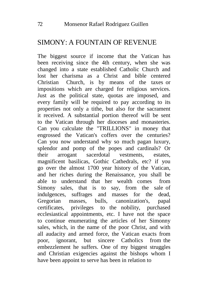### $SIMONY· A$  FOUNTAIN OF REVENUE.

The biggest source if income that the Vatican has been receiving since the 4th century, when she was changed into a state established Catholic Church and lost her charisma as a Christ and bible centered Christian Church, is by means of the taxes or impositions which are charged for religious services. Just as the political state, quotas are imposed, and every family will be required to pay according to its properties not only a tithe, but also for the sacrament it received. A substantial portion thereof will be sent to the Vatican through her dioceses and monasteries. Can you calculate the "TRILLIONS" in money that engrossed the Vatican's coffers over the centuries? Can you now understand why so much pagan luxury, splendor and pomp of the popes and cardinals? Or their arrogant sacerdotal vestments, estates, magnificent basilicas, Gothic Cathedrals, etc? if you go over the almost 1700 year history of the Vatican, and her riches during the Renaissance, you shall be able to understand that her wealth comes from Simony sales, that is to say, from the sale of indulgences, suffrages and masses for the dead, Gregorian masses, bulls, canonization's, papal certificates, privileges to the nobility, purchased ecclesiastical appointments, etc. I have not the space to continue enumerating the articles of her Simonny sales, which, in the name of the poor Christ, and with all audacity and armed force, the Vatican exacts from poor, ignorant, but sincere Catholics from the embezzlement he suffers. One of my biggest struggles and Christian exigencies against the bishops whom I have been appoint to serve has been in relation to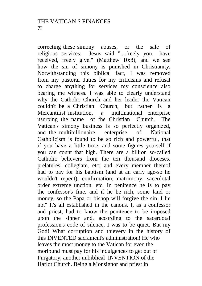correcting these simony abuses, or the sale of religious services. Jesus said "....freely you have received, freely give." (Matthew 10:8), and we see how the sin of simony is punished in Christianity. Notwithstanding this biblical fact, I was removed from my pastoral duties for my criticisms and refusal to charge anything for services my conscience also bearing me witness. I was able to clearly understand why the Catholic Church and her leader the Vatican couldn't be a Christian Church, but rather is a Mercantilist institution, a multinational enterprise usurping the name of the Christian Church. The Vatican's simony business is so perfectly organized, and the multibillionaire enterprise of National Catholicism is found to be so rich and powerful, that if you have a little time, and some figures yourself if you can count that high. There are a billion so-called Catholic believers from the ten thousand dioceses, prelatures, collegiate, etc; and every member thereof had to pay for his baptism (and at an early age-so he wouldn't repent), confirmation, matrimony, sacerdotal order extreme unction, etc. In penitence he is to pay the confessor's fine, and if he be rich, some land or money, so the Papa or bishop will forgive the sin. I lie not" It's all established in the canons. I, as a confessor and priest, had to know the penitence to be imposed upon the sinner and, according to the sacerdotal profession's code of silence, I was to be quiet. But my God! What corruption and thievery in the history of this INVENTED sacrament's administration! He who leaves the most money to the Vatican for even the moribund must pay for his indulgences to get out of Purgatory, another unbiblical INVENTION of the Harlot Church. Being a Monsignor and priest in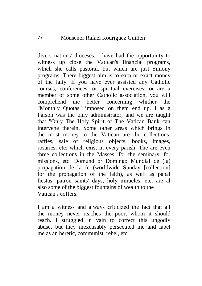divers nations' dioceses, I have had the opportunity to witness up close the Vatican's financial programs, which she calls pastoral, but which are just Simony programs. There biggest aim is to earn or exact money of the laity. If you have ever assisted any Catholic courses, conferences, or spiritual exercises, or are a member of some other Catholic association, you will comprehend me better concerning whither the "Monthly Quotas" imposed on them end up. I as a Parson was the only administrator, and we are taught that "Only The Holy Spirit of The Vatican Bank can intervene therein. Some other areas which brings in the most money to the Vatican are the collections, raffles, sale of religious objects, books, images, rosaries, etc; which exist in every parish. The are even three collections in the Masses: for the seminary, for missions, etc. Domund or Domingo Mundial de (la) propagation de la fe (worldwide Sunday [collection] for the propagation of the faith), as well as papal fiestas, patron saints' days, holy miracles, etc, are al also some of the biggest fountains of wealth to the Vatican's coffers.

I am a witness and always criticized the fact that all the money never reaches the poor, whom it should reach. I struggled in vain to correct this ungodly abuse, but they inexcusably persecuted me and label me as an heretic, communist, rebel, etc.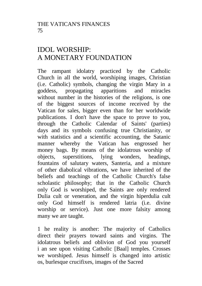# IDOL WORSHIP: A MONETARY FOUNDATION

The rampant idolatry practiced by the Catholic Church in all the world, worshiping images, Christian (i.e. Catholic) symbols, changing the virgin Mary in a goddess, propagating apparitions and miracles without number in the histories of the religions, is one of the biggest sources of income received by the Vatican for sales, bigger even than for her worldwide publications. I don't have the space to prove to you, through the Catholic Calendar of Saints' (parties) days and its symbols confusing true Christianity, or with statistics and a scientific accounting, the Satanic manner whereby the Vatican has engrossed her money bags. By means of the idolatrous worship of objects, superstitions, lying wonders, headings, fountains of salutary waters, Santeria, and a mixture of other diabolical vibrations, we have inherited of the beliefs and teachings of the Catholic Church's false scholastic philosophy; that in the Catholic Church only God is worshiped, the Saints are only rendered Dulia cult or veneration, and the virgin hiperdulia cult only God himself is rendered latria (i.e. divine worship or service). Just one more falsity among many we are taught.

1 he reality is another: The majority of Catholics direct their prayers toward saints and virgins. The idolatrous beliefs and oblivion of God you yourself i an see upon visiting Catholic [Baal] temples. Crosses we worshiped. Jesus himself is changed into artistic os, burlesque crucifixes, images of the Sacred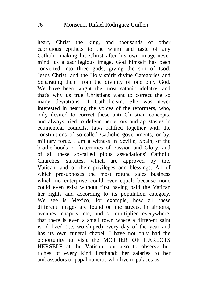heart, Christ the king, and thousands of other capricious epithets to the whim and taste of any Catholic making his Christ after his own image-never mind it's a sacrilegious image. God himself has been converted into three gods, giving the son of God, Jesus Christ, and the Holy spirit divine Categories and Separating them from the divinity of one only God. We have been taught the most satanic idolatry, and that's why us true Christians want to correct the so many deviations of Catholicism. She was never interested in hearing the voices of the reformers, who, only desired to correct these anti Christian concepts, and always tried to defend her errors and apostasies in ecumenical councils, laws ratified together with the constitutions of so-called Catholic governments, or by, military force. I am a witness in Seville, Spain, of the brotherhoods or fraternities of Passion and Glory, and of all these so-called pious associations' Catholic Churches' statutes, which are approved by the, Vatican, and of their privileges and blessings. All of which presupposes the most rotund sales business which no enterprise could ever equal: because none could even exist without first having paid the Vatican her rights and according to its population category. We see is Mexico, for example, how all these different images are found on the streets, in airports, avenues, chapels, etc, and so multiplied everywhere, that there is even a small town where a different saint is idolized (i.e. worshiped) every day of the year and has its own funeral chapel. I have not only had the opportunity to visit the MOTHER OF HARLOTS HERSELF at the Vatican, but also to observe her riches of every kind firsthand: her salaries to her ambassadors or papal nuncios-who live in palaces as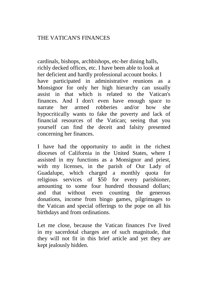cardinals, bishops, archbishops, etc-her dining halls, richly decked offices, etc. I have been able to look at her deficient and hardly professional account books. I have participated in administrative reunions as a Monsignor for only her high hierarchy can usually assist in that which is related to the Vatican's finances. And I don't even have enough space to narrate her armed robberies and/or how she hypocritically wants to fake the poverty and lack of financial resources of the Vatican; seeing that you yourself can find the deceit and falsity presented concerning her finances.

I have had the opportunity to audit in the richest dioceses of California in the United States, where I assisted in my functions as a Monsignor and priest, with my licenses, in the parish of Our Lady of Guadalupe, which charged a monthly quota for religious services of \$50 for every parishioner, amounting to some four hundred thousand dollars; and that without even counting the generous donations, income from bingo games, pilgrimages to the Vatican and special offerings to the pope on all his birthdays and from ordinations.

Let me close, because the Vatican finances I've lived in my sacerdotal charges are of such magnitude, that they will not fit in this brief article and yet they are kept jealously hidden.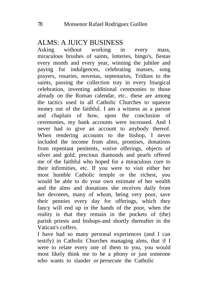#### ALMS: A JUICY BUSINESS

Asking without working in every mass, miraculous brushes of saints, lotteries, bingo's, fiestas every month and every year, winning the jubilee and paying for indulgences, celebrating masses, song prayers, rosaries, novenas, septenarios, Triduos to the saints, passing the collection tray in every liturgical celebration, inventing additional ceremonies to those already on the Roman calendar, etc.. these are among the tactics used in all Catholic Churches to squeeze money out of the faithful. I am a witness as a parson and chaplain of how, upon the conclusion of ceremonies, my bank accounts were increased. And I never had to give an account to anybody thereof. When rendering accounts to the bishop, I never included the income from alms, promises, donations from repentant penitents, votive offerings, objects of silver and gold, precious diamonds and pearls offered me of the faithful who hoped for a miraculous cure to their infirmities, etc. If you were to visit either her most humble Catholic temple or the richest, you would be able to do your own estimate of her wealth and the alms and donations she receives daily from her devotees, many of whom, being very poor, save their pennies every day for offerings, which they fancy will end up in the hands of the poor, when the reality is that they remain in the pockets of (the) parish priests and bishops-and shortly thereafter in the Vatican's coffers.

I have had so many personal experiences (and I can testify) in Catholic Churches managing alms, that if I were to relate every one of them to you, you would most likely think me to be a phony or just someone who wants to slander or persecute the Catholic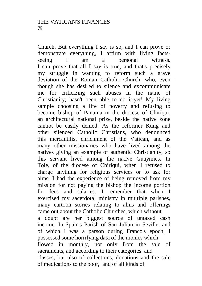Church. But everything I say is so, and I can prove or demonstrate everything, I affirm with living factsseeing I am a personal witness. I can prove that all I say is true, and that's precisely my struggle in wanting to reform such a grave deviation of the Roman Catholic Church, who, even though she has desired to silence and excommunicate me for criticizing such abuses in the name of Christianity, hasn't been able to do it-yet! My living sample choosing a life of poverty and refusing to become bishop of Panama in the diocese of Chiriqui, an architectural national prize, beside the native zone cannot be easily denied. As the reformer Kung and other silenced Catholic Christians, who denounced this mercantilist enrichment of the Vatican, and as many other missionaries who have lived among the natives giving an example of authentic Christianity, so this servant lived among the native Guaymies. In Tole, of the diocese of Chiriqui, when I refused to charge anything for religious services or to ask for alms, I had the experience of being removed from my mission for not paying the bishop the income portion for fees and salaries. I remember that when I exercised my sacerdotal ministry in multiple parishes, many cartoon stories relating to alms and offerings came out about the Catholic Churches, which without a doubt are her biggest source of untaxed cash income. In Spain's Parish of San Julian in Seville, and of which I was a parson during Franco's epoch, I possessed some horrifying data of the monies which flowed in monthly, not only from the sale of sacraments, and according to their categories and classes, but also of collections, donations and the sale of medications to the poor, and of all kinds of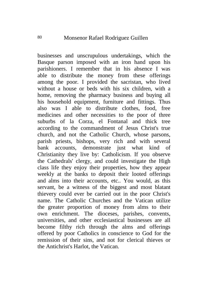businesses and unscrupulous undertakings, which the Basque parson imposed with an iron hand upon his parishioners. I remember that in his absence I was able to distribute the money from these offerings among the poor. I provided the sacristan, who lived without a house or beds with his six children, with a home, removing the pharmacy business and buying all his household equipment, furniture and fittings. Thus also was I able to distribute clothes, food, free medicines and other necessities to the poor of three suburbs of la Corza, el Fontanal and thick tree according to the commandment of Jesus Christ's true church, and not the Catholic Church, whose parsons, parish priests, bishops, very rich and with several bank accounts, demonstrate just what kind of Christianity they live by: Catholicism. If you observe the Cathedrals' clergy, and could investigate the High class life they enjoy their properties, how they appear weekly at the banks to deposit their looted offerings and alms into their accounts, etc.. You would, as this servant, be a witness of the biggest and most blatant thievery could ever be carried out in the poor Christ's name. The Catholic Churches and the Vatican utilize the greater proportion of money from alms to their own enrichment. The dioceses, parishes, convents, universities, and other ecclesiastical businesses are all become filthy rich through the alms and offerings offered by poor Catholics in conscience to God for the remission of their sins, and not for clerical thieves or the Antichrist's Harlot, the Vatican.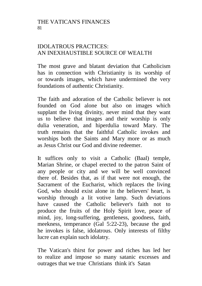#### THE VATICAN'S FINANCES 81

#### IDOLATROUS PRACTICES: AN INEXHAUSTIBLE SOURCE OF WEALTH

The most grave and blatant deviation that Catholicism has in connection with Christianity is its worship of or towards images, which have undermined the very foundations of authentic Christianity.

The faith and adoration of the Catholic believer is not founded on God alone but also on images which supplant the living divinity, never mind that they want us to believe that images and their worship is only dulia veneration, and hiperdulia toward Mary. The truth remains that the faithful Catholic invokes and worships both the Saints and Mary more or as much as Jesus Christ our God and divine redeemer.

It suffices only to visit a Catholic (Baal) temple, Marian Shrine, or chapel erected to the patron Saint of any people or city and we will be well convinced there of. Besides that, as if that were not enough, the Sacrament of the Eucharist, which replaces the living God, who should exist alone in the believers' heart, is worship through a lit votive lamp. Such deviations have caused the Catholic believer's faith not to produce the fruits of the Holy Spirit love, peace of mind, joy, long-suffering, gentleness, goodness, faith, meekness, temperance (Gal 5:22-23), because the god he invokes is false, idolatrous. Only interests of filthy lucre can explain such idolatry.

The Vatican's thirst for power and riches has led her to realize and impose so many satanic excesses and outrages that we true Christians think it's Satan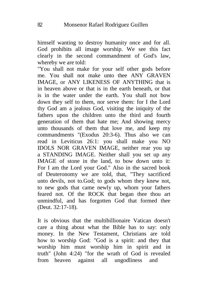himself wanting to destroy humanity once and for all. God prohibits all image worship. We see this fact clearly in the second commandment of God's law, whereby we are told:

"You shall not make for your self other gods before me. You shall not make unto thee ANY GRAVEN IMAGE, or ANY LIKENESS OF ANYTHING that is in heaven above or that is in the earth beneath, or that is in the water under the earth. You shall not bow down they self to them, nor serve them: for I the Lord thy God am a jealous God, visiting the iniquity of the fathers upon the children unto the third and fourth generation of them that hate me; And showing mercy unto thousands of them that love me, and keep my commandments "(Exodus 20:3-6). Thus also we can read in Leviticus 26:1: you shall make you NO IDOLS NOR GRAVEN IMAGE, neither rear you up a STANDING IMAGE. Neither shall you set up any IMAGE of stone in the land, to bow down unto it: For I am the Lord your God." Also in the sacred book of Deuteronomy we are told, that, "They sacrificed unto devils, not to.God; to gods whom they knew not, to new gods that came newly up, whom your fathers feared not. Of the ROCK that began thee thou art unmindful, and has forgotten God that formed thee (Deut. 32:17-18).

It is obvious that the multibillionaire Vatican doesn't care a thing about what the Bible has to say: only money. In the New Testament, Christians are told how to worship God: "God is a spirit: and they that worship him must worship him in spirit and in truth" (John 4:24) "for the wrath of God is revealed from heaven against all ungodliness and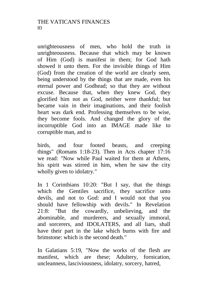unrighteousness of men, who hold the truth in unrighteousness. Because that which may be known of Him (God) is manifest in them; for God hath showed it unto them. For the invisible things of Him (God) from the creation of the world are clearly seen, being understood by the things that are made, even his eternal power and Godhead; so that they are without excuse. Because that, when they knew God, they glorified him not as God, neither were thankful; but became vain in their imaginations, and their foolish heart was dark end. Professing themselves to be wise, they become fools. And changed the glory of the incorruptible God into an IMAGE made like to corruptible man, and to

birds, and four footed beasts, and creeping things" (Romans 1:18-23). Then in Acts chapter 17:16 we read: "Now while Paul waited for them at Athens, his spirit was stirred in him, when he saw the city wholly given to idolatry."

In 1 Corinthians 10:20: "But I say, that the things which the Gentiles sacrifice, they sacrifice unto devils, and not to God: and I would not that you should have fellowship with devils." In Revelation 21:8: "But the cowardly, unbelieving, and the abominable, and murderers, and sexually immoral, and sorcerers, and IDOLATERS, and all liars, shall have their part in the lake which burns with fire and brimstone: which is the second death."

In Galatians 5:19, "Now the works of the flesh are manifest, which are these; Adultery, fornication, uncleanness, lasciviousness, idolatry, sorcery, hatred,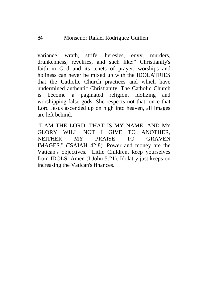variance, wrath, strife, heresies, envy, murders, drunkenness, revelries, and such like:" Christianity's faith in God and its tenets of prayer, worships and holiness can never be mixed up with the IDOLATRIES that the Catholic Church practices and which have undermined authentic Christianity. The Catholic Church is become a paginated religion, idolizing and worshipping false gods. She respects not that, once that Lord Jesus ascended up on high into heaven, all images are left behind.

"I AM THE LORD: THAT IS MY NAME: AND MY GLORY WILL NOT I GIVE TO ANOTHER, NEITHER MY PRAISE TO GRAVEN IMAGES." (ISAIAH 42:8). Power and money are the Vatican's objectives. "Little Children, keep yourselves from IDOLS. Amen (I John 5:21). Idolatry just keeps on increasing the Vatican's finances.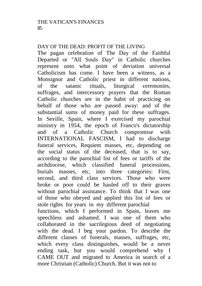#### DAY OF THE DEAD: PROFIT OF THE LIVING

The pagan celebration of The Day of the Faithful Departed or "All Souls Day" in Catholic churches represent unto what point of deviation universal Catholicism has come. I have been a witness, as a Monsignor and Catholic priest in different nations, of the satanic rituals, liturgical ceremonies, suffrages, and intercessory prayers that the Roman Catholic churches are in the habit of practicing on behalf of those who are passed away: and of the substantial sums of money paid for these suffrages. In Seville, Spain, where I exercised my parochial ministry in 1954, the epoch of Franco's dictatorship<br>and of a Catholic Church compromise with Catholic Church compromise with INTERNATIONAL FASCISM, I had to discharge funeral services, Requiem masses, etc, depending on the social status of the deceased, that is to say, according to the parochial list of fees or tariffs of the archdiocese, which classified funeral processions, burials masses, etc, into three categories: First, second, and third class services. Those who were broke or poor could be hauled off to their graves without parochial assistance. To think that I was one of those who obeyed and applied this list of fees or stole rights for years in my different parochial functions, which I performed in Spain, leaves me speechless and ashamed. I was one of them who collaborated in the sacrilegious deed of negotiating with the dead. I beg your pardon. To describe the different classes of funerals, masses, suffrages, etc, which every class distinguishes, would be a never ending task, but you would comprehend why I CAME OUT and migrated to America in search of a

more Christian (Catholic) Church. But it was not to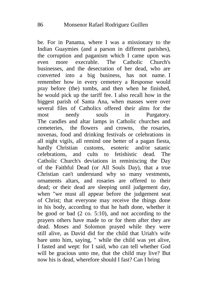be. For in Panama, where I was a missionary to the Indian Guaymies (and a parson in different parishes), the corruption and paganism which I came upon was even more execrable. The Catholic Church's businesses, and the desecration of her dead, who are converted into a big business, has not name. I remember how in every cemetery a Response would pray before (the) tombs, and then when he finished, he would pick up the tariff fee. I also recall how in the biggest parish of Santa Ana, when masses were over several files of Catholics offered their alms for the most needy souls in Purgatory. The candles and altar lamps in Catholic churches and cemeteries, the flowers and crowns, the rosaries, novenas, food and drinking festivals or celebrations in all night vigils, all remind one better of a pagan fiesta, hardly Christian customs, esoteric and/or satanic celebrations, and cults to fetishistic dead. The Catholic Church's deviations in reminiscing the Day of the Faithful Dead (or All Souls Day), that a true Christian can't understand why so many vestments, ornaments altars, and rosaries are offered to their dead; or their dead are sleeping until judgement day, when "we must all appear before the judgement seat of Christ; that everyone may receive the things done in his body, according to that he hath done, whether it be good or bad  $(2 \text{ co. } 5:10)$ , and not according to the prayers others have made to or for them after they are dead. Moses and Solomon prayed while they were still alive, as David did for the child that Uriah's wife bare unto him, saying, " while the child was yet alive, I fasted and wept: for I said, who can tell whether God will be gracious unto me, that the child may live? But now his is dead, wherefore should I fast? Can I bring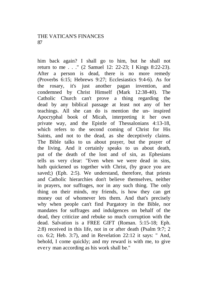#### THE VATICAN'S FINANCES 87

him back again? I shall go to him, but he shall not return to me . . ." (2 Samuel 12: 22-23; I Kings 8:22-23). After a person is dead, there is no more remedy (Proverbs 6:15; Hebrews 9:27; Ecclesiastics 9:4-6). As for the rosary, it's just another pagan invention, and condemned by Christ Himself (Mark 12:38-40). The Catholic Church can't prove a thing regarding the dead by any biblical passage at least not any of her teachings. All she can do is mention the un- inspired Apocryphal book of Micah, interpreting it her own private way, and the Epistle of Thessalonians 4:13-18, which refers to the second coming of Christ for His Saints, and not to the dead, as she deceptively claims. The Bible talks to us about prayer, but the prayer of the living. And it certainly speaks to us about death, put of the death of the lost and of sin, as Ephesians tells us very clear: "Even when we were dead in sins, hath quickened us together with Christ, (by grace you are saved;) (Eph. 2:5). We understand, therefore, that priests and Catholic hierarchies don't believe themselves, neither in prayers, nor suffrages, nor in any such thing. The only thing on their minds, my friends, is how they can get money out of whomever lets them. And that's precisely why when people can't find Purgatory in the Bible, nor mandates for suffrages and indulgences on behalf of the dead, they criticize and rebuke so much corruption with the dead. Salvation is a FREE GIFT (Roman. 5:15-18; Eph. 2:8) received in this life, not in or after death (Psalm 9:7; 2 co. 6:2; Heb. 3:7), and in Revelation 22:12 it says: " And, behold, I come quickly; and my reward is with me, to give every man according as his work shall be."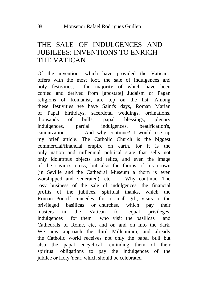#### THE SALE OF INDULGENCES AND JUBILEES: INVENTIONS TO ENRICH THE VATICAN

Of the inventions which have provided the Vatican's offers with the most loot, the sale of indulgences and holy festivities, the majority of which have been copied and derived from [apostate] Judaism or Pagan religions of Romanist, are top on the list. Among these festivities we have Saint's days, Roman Marian of Papal birthdays, sacerdotal weddings, ordinations, thousands of bulls, papal blessings, plenary indulgences, partial indulgences, beatification's, canonization's . . . And why continue? I would use up my brief article. The Catholic Church is the biggest commercial/financial empire on earth, for it is the only nation and millennial political state that sells not only idolatrous objects and relics, and even the image of the savior's cross, but also the thorns of his crown (in Seville and the Cathedral Museum a thorn is even worshipped and venerated), etc. . . Why continue. The rosy business of the sale of indulgences, the financial profits of the jubilees, spiritual thanks, which the Roman Pontiff concedes, for a small gift, visits to the privileged basilicas or churches, which pay their masters in the Vatican for equal privileges, indulgences for them who visit the basilicas and Cathedrals of Rome, etc, and on and on into the dark. We now approach the third Millennium, and already the Catholic world receives not only the papal bull but also the papal encyclical reminding them of their spiritual obligations to pay the indulgences of the jubilee or Holy Year, which should be celebrated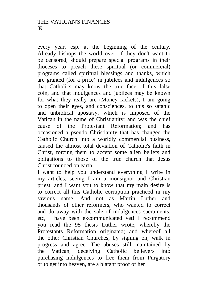every year, esp. at the beginning of the century. Already bishops the world over, if they don't want to be censored, should prepare special programs in their dioceses to preach these spiritual (or commercial) programs called spiritual blessings and thanks, which are granted (for a price) in jubilees and indulgences so that Catholics may know the true face of this false coin, and that indulgences and jubilees may be known for what they really are (Money rackets), I am going to open their eyes, and consciences, to this so satanic and unbiblical apostasy, which is imposed of the Vatican in the name of Christianity; and was the chief cause of the Protestant Reformation; and has occasioned a pseudo Christianity that has changed the Catholic Church into a worldly commercial business, caused the almost total deviation of Catholic's faith in Christ, forcing them to accept some alien beliefs and obligations to those of the true church that Jesus Christ founded on earth.

I want to help you understand everything I write in my articles, seeing I am a monsignor and Christian priest, and I want you to know that my main desire is to correct all this Catholic corruption practiced in my savior's name. And not as Martin Luther and thousands of other reformers, who wanted to correct and do away with the sale of indulgences sacraments, etc, I have been excommunicated yet! I recommend you read the 95 thesis Luther wrote, whereby the Protestants Reformation originated; and whereof all the other Christian Churches, by signing on, walk in progress and agree. The abuses still maintained by the Vatican, deceiving Catholic believers into purchasing indulgences to free them from Purgatory or to get into heaven, are a blatant proof of her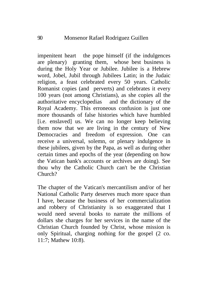impenitent heart the pope himself (if the indulgences are plenary) granting them, whose best business is during the Holy Year or Jubilee. Jubilee is a Hebrew word, Jobel, Jubil through Jubilees Latin; in the Judaic religion, a feast celebrated every 50 years. Catholic Romanist copies (and perverts) and celebrates it every 100 years (not among Christians), as she copies all the authoritative encyclopedias and the dictionary of the Royal Academy. This erroneous confusion is just one more thousands of false histories which have humbled [i.e. enslaved] us. We can no longer keep believing them now that we are living in the century of New Democracies and freedom of expression. One can receive a universal, solemn, or plenary indulgence in these jubilees, given by the Papa, as well as during other certain times and epochs of the year (depending on how the Vatican bank's accounts or archives are doing). See thou why the Catholic Church can't be the Christian Church?

The chapter of the Vatican's mercantilism and/or of her National Catholic Party deserves much more space than I have, because the business of her commercialization and robbery of Christianity is so exaggerated that I would need several books to narrate the millions of dollars she charges for her services in the name of the Christian Church founded by Christ, whose mission is only Spiritual, charging nothing for the gospel (2 co. 11:7; Mathew 10:8).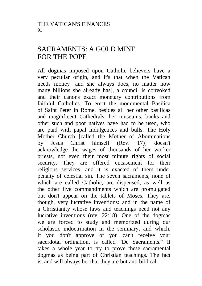## SACRAMENTS: A GOLD MINE FOR THE POPE

All dogmas imposed upon Catholic believers have a very peculiar origin, and it's that when the Vatican needs money [and she always does, no matter how many billions she already has], a council is convoked and their canons exact monetary contributions from faithful Catholics. To erect the monumental Basilica of Saint Peter in Rome, besides all her other basilicas and magnificent Cathedrals, her museums, banks and other such and poor natives have had to be used, who are paid with papal indulgences and bulls. The Holy Mother Church [called the Mother of Abominations by Jesus Christ himself (Rev. 17)] doesn't acknowledge the wages of thousands of her worker priests, not even their most minute rights of social security. They are offered encasement for their religious services, and it is exacted of them under penalty of celestial sin. The seven sacraments, none of which are called Catholic, are dispensed, as well as the other five commandments which are promulgated but don't appear on the tablets of Moses. They are, though, very lucrative inventions: and in the name of a Christianity whose laws and teachings need not any lucrative inventions (rev. 22:18). One of the dogmas we are forced to study and memorized during our scholastic indoctrination in the seminary, and which, if you don't approve of you can't receive your sacerdotal ordination, is called "De Sacraments." It takes a whole year to try to prove these sacramental dogmas as being part of Christian teachings. The fact is, and will always be, that they are but anti biblical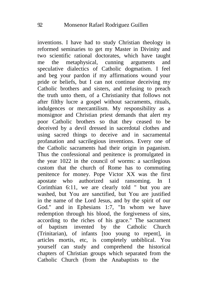inventions. I have had to study Christian theology in reformed seminaries to get my Master in Divinity and two scientific rational doctorates, which have taught me the metaphysical, cunning arguments and speculative dialectics of Catholic dogmatism. I feel and beg your pardon if my affirmations wound your pride or beliefs, but I can not continue deceiving my Catholic brothers and sisters, and refusing to preach the truth unto them, of a Christianity that follows not after filthy lucre a gospel without sacraments, rituals, indulgences or mercantilism. My responsibility as a monsignor and Christian priest demands that alert my poor Catholic brothers so that they ceased to be deceived by a devil dressed in sacerdotal clothes and using sacred things to deceive and in sacramental profanation and sacrilegious inventions. Every one of the Catholic sacraments had their origin in paganism. Thus the confessional and penitence is promulgated in the year 1022 in the council of worms: a sacrilegious custom that the church of Rome has to commuting penitence for money. Pope Victor XX was the first apostate who authorized said ransoming. In I Corinthian 6:11, we are clearly told " but you are washed, but You are sanctified, but You are justified in the name of the Lord Jesus, and by the spirit of our God." and in Ephesians 1:7, "In whom we have redemption through his blood, the forgiveness of sins, according to the riches of his grace." The sacrament of baptism invented by the Catholic Church (Trinitarian), of infants [too young to repent], in articles mortis, etc, is completely unbiblical. You yourself can study and comprehend the historical chapters of Christian groups which separated from the Catholic Church (from the Anabaptists to the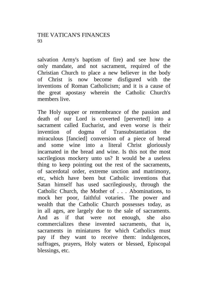salvation Army's baptism of fire) and see how the only mandate, and not sacrament, required of the Christian Church to place a new believer in the body of Christ is now become disfigured with the inventions of Roman Catholicism; and it is a cause of the great apostasy wherein the Catholic Church's members live.

The Holy supper or remembrance of the passion and death of our Lord is coverted [perverted] into a sacrament called Eucharist, and even worse is their invention of dogma of Transubstantiation the miraculous [fancied] conversion of a piece of bread and some wine into a literal Christ gloriously incarnated in the bread and wine. Is this not the most sacrilegious mockery unto us? It would be a useless thing to keep pointing out the rest of the sacraments, of sacerdotal order, extreme unction and matrimony, etc, which have been but Catholic inventions that Satan himself has used sacrilegiously, through the Catholic Church, the Mother of . . . Abominations, to mock her poor, faithful votaries. The power and wealth that the Catholic Church possesses today, as in all ages, are largely due to the sale of sacraments. And as if that were not enough, she also commercializes these invented sacraments, that is, sacraments in miniatures for which Catholics must pay if they want to receive them: indulgences, suffrages, prayers, Holy waters or blessed, Episcopal blessings, etc.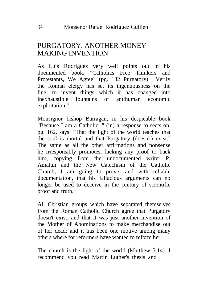## PURGATORY: ANOTHER MONEY MAKING INVENTION

As Luis Rodriguez very well points out in his documented book, "Catholics Free Thinkers and Protestants, We Agree" (pg. 132 Purgatory): "Verily the Roman clergy has set its ingenuousness on the line, to invent things which it has changed into inexhaustible fountains of antihuman economic exploitation."

Monsignor bishop Barragan, in his despicable book "Because I am a Catholic, " (in) a response to sects on, pg. 162, says: "That the light of the world teaches that the soul is mortal and that Purgatory (doesn't) exist." The same as all the other affirmations and nonsense he irresponsibly promotes, lacking any proof to back him, copying from the undocumented writer P. Amatuli and the New Catechism of the Catholic Church, I am going to prove, and with reliable documentation, that his fallacious arguments can no longer be used to deceive in the century of scientific proof and truth.

All Christian groups which have separated themselves from the Roman Catholic Church agree that Purgatory doesn't exist, and that it was just another invention of the Mother of Abominations to make merchandise out of her dead; and it has been one motive among many others where for reformers have wanted to reform her.

The church is the light of the world (Matthew 5:14). I recommend you read Martin Luther's thesis and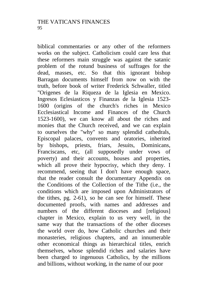biblical commentaries or any other of the reformers works on the subject. Catholicism could care less that these reformers main struggle was against the satanic problem of the rotund business of suffrages for the dead, masses, etc. So that this ignorant bishop Barragan documents himself from now on with the truth, before book of writer Frederick Schwaller, titled "Origenes de la Riqueza de la Iglesia en Mexico. Ingresos Eclesiasticos y Finanzas de la Iglesia 1523- 1600 (origins of the church's riches in Mexico Ecclesiastical Income and Finances of the Church 1523-1600), we can know all about the riches and monies that the Church received, and we can explain to ourselves the "why" so many splendid cathedrals, Episcopal palaces, convents and oratories, inherited by bishops, priests, friars, Jesuits, Dominicans, Franciscans, etc, (all supposedly under vows of poverty) and their accounts, houses and properties, which all prove their hypocrisy, which they deny. I recommend, seeing that I don't have enough space, that the reader consult the documentary Appendix on the Conditions of the Collection of the Tithe (i.e., the conditions which are imposed upon Administrators of the tithes, pg. 2-61), so he can see for himself. These documented proofs, with names and addresses and numbers of the different dioceses and [religious] chapter in Mexico, explain to us very well, in the same way that the transactions of the other dioceses the world over do, how Catholic churches and their monasteries, religious chapters, and an innumerable other economical things as hierarchical titles, enrich themselves, whose splendid riches and salaries have been charged to ingenuous Catholics, by the millions and billions, without working, in the name of our poor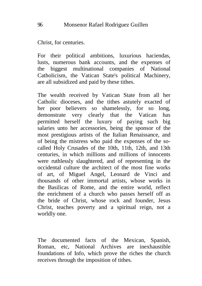Christ, for centuries.

For their political ambitions, luxurious haciendas, lusts, numerous bank accounts, and the expenses of the biggest multinational companies of National Catholicism, the Vatican State's political Machinery, are all subsidized and paid by these tithes.

The wealth received by Vatican State from all her Catholic dioceses, and the tithes astutely exacted of her poor believers so shamelessly, for so long, demonstrate very clearly that the Vatican has permitted herself the luxury of paying such big salaries unto her accessories, being the sponsor of the most prestigious artists of the Italian Renaissance, and of being the mistress who paid the expenses of the socalled Holy Crusades of the 10th, 11th, 12th, and 13th centuries, in which millions and millions of innocents were ruthlessly slaughtered, and of representing in the occidental culture the architect of the most fine works of art, of Miguel Angel, Leonard de Vinci and thousands of other immortal artists, whose works in the Basilicas of Rome, and the entire world, reflect the enrichment of a church who passes herself off as the bride of Christ, whose rock and founder, Jesus Christ, teaches poverty and a spiritual reign, not a worldly one.

The documented facts of the Mexican, Spanish, Roman, etc, National Archives are inexhaustible foundations of Info, which prove the riches the church receives through the imposition of tithes.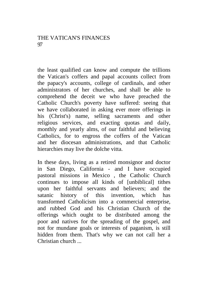#### THE VATICAN'S FINANCES 97

the least qualified can know and compute the trillions the Vatican's coffers and papal accounts collect from the papacy's accounts, college of cardinals, and other administrators of her churches, and shall be able to comprehend the deceit we who have preached the Catholic Church's poverty have suffered: seeing that we have collaborated in asking ever more offerings in his (Christ's) name, selling sacraments and other religious services, and exacting quotas and daily, monthly and yearly alms, of our faithful and believing Catholics, for to engross the coffers of the Vatican and her diocesan administrations, and that Catholic hierarchies may live the dolche vitta.

In these days, living as a retired monsignor and doctor in San Diego, California - and I have occupied pastoral missions in Mexico , the Catholic Church continues to impose all kinds of [unbiblical] tithes upon her faithful servants and believers; and the satanic history of this invention, which has transformed Catholicism into a commercial enterprise, and rubbed God and his Christian Church of the offerings which ought to be distributed among the poor and natives for the spreading of the gospel, and not for mundane goals or interests of paganism, is still hidden from them. That's why we can not call her a Christian church ...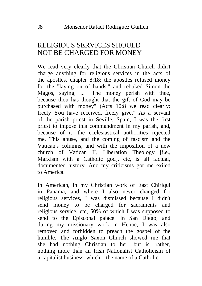## RELIGIOUS SERVICES SHOULD NOT BE CHARGED FOR MONEY

We read very clearly that the Christian Church didn't charge anything for religious services in the acts of the apostles, chapter 8:18; the apostles refused money for the "laying on of hands," and rebuked Simon the Magos, saying, ... "The money perish with thee, because thou has thought that the gift of God may be purchased with money" (Acts 10:8 we read clearly: freely You have received, freely give." As a servant of the parish priest in Seville, Spain, I was the first priest to impose this commandment in my parish, and, because of it, the ecclesiastical authorities rejected me. This abuse, and the coming of fascism and the Vatican's columns, and with the imposition of a new church of Vatican II, Liberation Theology [i.e., Marxism with a Catholic god], etc, is all factual, documented history. And my criticisms got me exiled to America.

In American, in my Christian work of East Chiriqui in Panama, and where I also never changed for religious services, I was dismissed because I didn't send money to be charged for sacraments and religious service, etc, 50% of which I was supposed to send to the Episcopal palace. In San Diego, and during my missionary work in Henoc, I was also removed and forbidden to preach the gospel of the humble. The Anglo Saxon Church showed me that she had nothing Christian to her; but is, rather, nothing more than an Irish Nationalist Catholicism of a capitalist business, which the name of a Catholic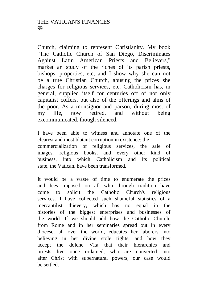Church, claiming to represent Christianity. My book "The Catholic Church of San Diego, Discriminates Against Latin American Priests and Believers," market an study of the riches of its parish priests, bishops, properties, etc, and I show why she can not be a true Christian Church, abusing the prices she charges for religious services, etc. Catholicism has, in general, supplied itself for centuries off of not only capitalist coffers, but also of the offerings and alms of the poor. As a monsignor and parson, during most of my life, now retired, and without being excommunicated, though silenced.

I have been able to witness and annotate one of the clearest and most blatant corruption in existence: the commercialization of religious services, the sale of images, religious books, and every other kind of business, into which Catholicism and its political state, the Vatican, have been transformed.

It would be a waste of time to enumerate the prices and fees imposed on all who through tradition have come to solicit the Catholic Church's religious services. I have collected such shameful statistics of a mercantilist thievery, which has no equal in the histories of the biggest enterprises and businesses of the world. If we should add how the Catholic Church, from Rome and in her seminaries spread out in every diocese, all over the world, educates her laborers into believing in her divine stole rights, and how they accept the dolche Vita that their hierarchies and priests live once ordained, who are converted into alter Christ with supernatural powers, our case would be settled.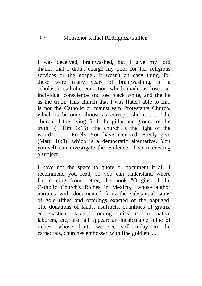I was deceived, brainwashed, but I give my lord thanks that I didn't charge my poor for her religious services or the gospel. It wasn't an easy thing, for these were many years of brainwashing, of a scholastic catholic education which made us lose our individual conscience and see black white, and the lie as the truth. This church that I was [later] able to find is not the Catholic or mainstream Protestants Church, which is become almost as corrupt, she is . .. "the church of the living God, the pillar and ground of the truth" (I Tim. 3:15); the church is the light of the world . . . "Freely You have received, Freely give (Matt. 10:8), which is a democratic alternative. You yourself can investigate the evidence of so interesting a subject.

I have not the space to quote or document it all. I recommend you read, so you can understand where I'm coming from better, the book "Origins of the Catholic Church's Riches in Mexico," whose author narrates with documented facts the substantial sums of gold tithes and offerings exacted of the baptized. The donations of lands, usufructs, quantities of grains, ecclesiastical taxes, coming missions to native laborers, etc, also all appear: an incalculable mine of riches, whose fruits we see still today in the cathedrals, churches embossed with fine gold etc ...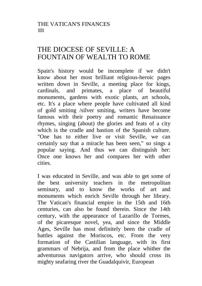## THE DIOCESE OF SEVILLE: A FOUNTAIN OF WEALTH TO ROME

Spain's history would be incomplete if we didn't know about her most brilliant religious-heroic pages written down in Seville, a meeting place for kings, cardinals, and primates, a place of beautiful monuments, gardens with exotic plants, art schools, etc. It's a place where people have cultivated all kind of gold smiting /silver smiting, writers have become famous with their poetry and romantic Renaissance rhymes, singing (about) the glories and feats of a city which is the cradle and bastion of the Spanish culture. "One has to either live or visit Seville, we can certainly say that a miracle has been seen," so sings a popular saying. And thus we can distinguish her: Once one knows her and compares her with other cities.

I was educated in Seville, and was able to get some of the best university teachers in the metropolitan seminary, and to know the works of art and monuments which enrich Seville through her library. The Vatican's financial empire in the 15th and 16th centuries, can also be found therein. Since the 14th century, with the appearance of Lazarillo de Tormes, of the picaresque novel, yea, and since the Middle Ages, Seville has most definitely been the cradle of battles against the Moriscos, etc. From the very formation of the Castilian language, with its first grammars of Nebrija, and from the place whither the adventurous navigators arrive, who should cross its mighty seafaring river the Guadalquivir, European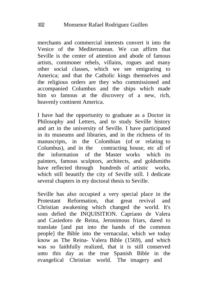merchants and commercial interests convert it into the Venice of the Mediterranean. We can affirm that Seville is the center of attention and abode of famous artists, commoner rebels, villains, rogues and many other social classes, which we see emigrating to America; and that the Catholic kings themselves and the religious orders are they who commissioned and accompanied Columbus and the ships which made him so famous at the discovery of a new, rich, heavenly continent America.

I have had the opportunity to graduate as a Doctor in Philosophy and Letters, and to study Seville history and art in the university of Seville. I have participated in its museums and libraries, and in the richness of its manuscripts, in the Colombian (of or relating to Columbus), and in the contracting house, etc all of the information of the Master works which its painters, famous sculptors, architects, and goldsmiths have reflected through hundreds of artistic works, which still beautify the city of Seville still. I dedicate several chapters in my doctoral thesis to Seville.

Seville has also occupied a very special place in the Protestant Reformation, that great revival and Christian awakening which changed the world. It's sons defied the INQUISITION. Capriano de Valera and Casiedoro de Reina, Jeronimous friars, dared to translate [and put into the hands of the common people] the Bible into the vernacular, which we today know as The Reina- Valera Bible (1569), and which was so faithfully realized, that it is still conserved unto this day as the true Spanish Bible in the evangelical Christian world. The imagery and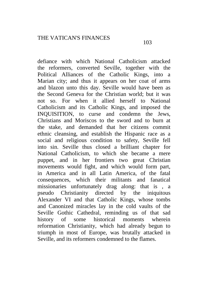defiance with which National Catholicism attacked the reformers, converted Seville, together with the Political Alliances of the Catholic Kings, into a Marian city; and thus it appears on her coat of arms and blazon unto this day. Seville would have been as the Second Geneva for the Christian world; but it was not so. For when it allied herself to National Catholicism and its Catholic Kings, and imposed the INQUISITION, to curse and condemn the Jews, Christians and Moriscos to the sword and to burn at the stake, and demanded that her citizens commit ethnic cleansing, and establish the Hispanic race as a social and religious condition to safety, Seville fell into sin. Seville thus closed a brilliant chapter for National Catholicism, to which she became a mere puppet, and in her frontiers two great Christian movements would fight, and which would form part, in America and in all Latin America, of the fatal consequences, which their militants and fanatical missionaries unfortunately drag along: that is , a pseudo Christianity directed by the iniquitous Alexander VI and that Catholic Kings, whose tombs and Canonized miracles lay in the cold vaults of the Seville Gothic Cathedral, reminding us of that sad history of some historical moments wherein reformation Christianity, which had already begun to triumph in most of Europe, was brutally attacked in Seville, and its reformers condemned to the flames.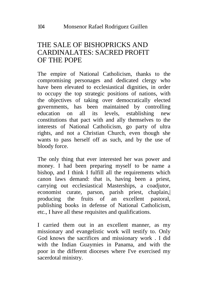## THE SALE OF BISHOPRICKS AND CARDINALATES: SACRED PROFIT OF THE POPE

The empire of National Catholicism, thanks to the compromising personages and dedicated clergy who have been elevated to ecclesiastical dignities, in order to occupy the top strategic positions of nations, with the objectives of taking over democratically elected governments, has been maintained by controlling education on all its levels, establishing new constitutions that pact with and ally themselves to the interests of National Catholicism, go party of ultra rights, and not a Christian Church, even though she wants to pass herself off as such, and by the use of bloody force.

The only thing that ever interested her was power and money. I had been preparing myself to be name a bishop, and I think I fulfill all the requirements which canon laws demand: that is, having been a priest, carrying out ecclesiastical Masterships, a coadjutor, economist curate, parson, parish priest, chaplain,| producing the fruits of an excellent pastoral, publishing books in defense of National Catholicism, etc., I have all these requisites and qualifications.

I carried them out in an excellent manner, as my missionary and evangelistic work will testify to. Only God knows the sacrifices and missionary work . I did with the Indian Guaymies in Panama, and with the poor in the different dioceses where I've exercised my sacerdotal ministry.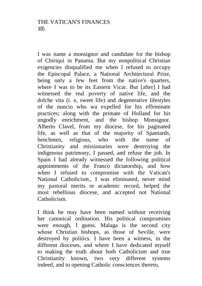I was name a monsignor and candidate for the bishop of Chiriqui in Panama. But my nonpolitical Christian exigencies disqualified me when I refused to occupy the Episcopal Palace, a National Architectural Prize, being only a few feet from the native's quarters, where I was to be its Eastern Vicar. But [after] I had witnessed the real poverty of native life, and the dolche vita (i. e, sweet life) and degenerative lifestyles of the nuncio who wa expelled for his effeminate practices; along with the primate of Holland for his ungodly enrichment, and the bishop Monsignor. Alberto Clavel, from my diocese, for his paginated life, as well as that of the majority of Spaniards, henchmen, religious, who with the name of Christianity and missionaries were destroying the indigenous patrimony, I passed, and refuse the job. In Spain I had already witnessed the following political appointments of the Franco dictatorship, and how when I refused to compromise with the Vatican's National Catholicism., I was eliminated, never mind my pastoral merits or academic record, helped the most rebellious diocese, and accepted not National Catholicism.

I think he may have been named without receiving her canonical ordination. His political compromises were enough, I guess. Malaga is the second city whose Christian bishops, as those of Seville, were destroyed by politics. I have been a witness, in the different dioceses, and where I have dedicated myself to making the truth about both Catholicism and true Christianity known, two very different systems indeed, and to opening Catholic consciences thereto,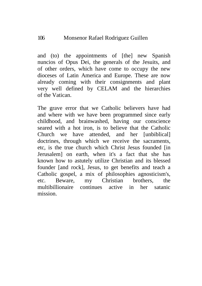and (to) the appointments of [the] new Spanish nuncios of Opus Dei, the generals of the Jesuits, and of other orders, which have come to occupy the new dioceses of Latin America and Europe. These are now already coming with their consignments and plant very well defined by CELAM and the hierarchies of the Vatican.

The grave error that we Catholic believers have had and where with we have been programmed since early childhood, and brainwashed, having our conscience seared with a hot iron, is to believe that the Catholic Church we have attended, and her [unbiblical] doctrines, through which we receive the sacraments, etc, is the true church which Christ Jesus founded [in Jerusalem] on earth, when it's a fact that she has known how to astutely utilize Christian and its blessed founder [and rock], Jesus, to get benefits and teach a Catholic gospel, a mix of philosophies agnosticism's, etc. Beware, my Christian brothers, the multibillionaire continues active in her satanic mission.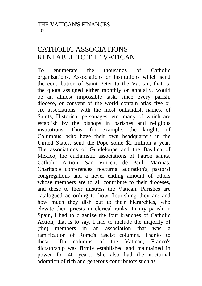## CATHOLIC ASSOCIATIONS RENTABLE TO THE VATICAN

To enumerate the thousands of Catholic organizations, Associations or Institutions which send the contribution of Saint Peter to the Vatican, that is, the quota assigned either monthly or annually, would be an almost impossible task, since every parish, diocese, or convent of the world contain atlas five or six associations, with the most outlandish names, of Saints, Historical personages, etc, many of which are establish by the bishops in parishes and religious institutions. Thus, for example, the knights of Columbus, who have their own headquarters in the United States, send the Pope some \$2 million a year. The associations of Guadeloupe and the Basilica of Mexico, the eucharistic associations of Patron saints, Catholic Action, San Vincent de Paul, Marinas, Charitable conferences, nocturnal adoration's, pastoral congregations and a never ending amount of others whose members are to all contribute to their dioceses. and these to their mistress the Vatican. Parishes are catalogued according to how flourishing they are and how much they dish out to their hierarchies, who elevate their priests in clerical ranks. In my parish in Spain, I had to organize the four branches of Catholic Action; that is to say, I had to include the majority of (the) members in an association that was a ramification of Rome's fascist columns. Thanks to these fifth columns of the Vatican, Franco's dictatorship was firmly established and maintained in power for 40 years. She also had the nocturnal adoration of rich and generous contributors such as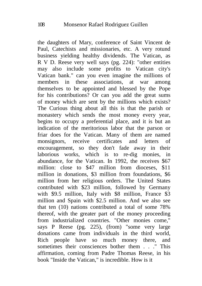the daughters of Mary, conference of Saint Vincent de Paul, Catechists and missionaries, etc. A very rotund business yielding healthy dividends. The Vatican, as R V D. Reese very well says (pg. 224): "other entities may also include some profits to Vatican city's Vatican bank." can you even imagine the millions of members in these associations, at war among themselves to be appointed and blessed by the Pope for his contributions? Or can you add the great sums of money which are sent by the millions which exists? The Curious thing about all this is that the parish or monastery which sends the most money every year, begins to occupy a preferential place, and it is but an indication of the meritorious labor that the parson or friar does for the Vatican. Many of them are named monsignors, receive certificates and letters of encouragement, so they don't fade away in their laborious works, which is to re-dig monies, in abundance, for the Vatican. In 1992, the receives \$67 million: close to \$47 million from dioceses, \$11 million in donations, \$3 million from foundations, \$6 million from her religious orders. The United States contributed with \$23 million, followed by Germany with \$9.5 million, Italy with \$8 million, France \$3 million and Spain with \$2.5 million. And we also see that ten (10) nations contributed a total of some 78% thereof, with the greater part of the money proceeding from industrialized countries. "Other monies come," says P Reese (pg. 225), (from) "some very large donations came from individuals in the third world, Rich people have so much money there, and sometimes their consciences bother them . . ." This affirmation, coming from Padre Thomas Reese, in his book "Inside the Vatican," is incredible. How is it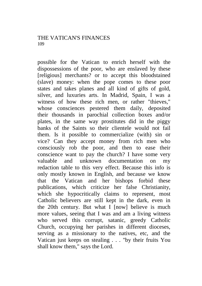possible for the Vatican to enrich herself with the dispossessions of the poor, who are enslaved by these [religious] merchants? or to accept this bloodstained (slave) money: when the pope comes to these poor states and takes planes and all kind of gifts of gold, silver, and luxuries arts. In Madrid, Spain, I was a witness of how these rich men, or rather "thieves," whose consciences pestered them daily, deposited their thousands in parochial collection boxes and/or plates, in the same way prostitutes did in the piggy banks of the Saints so their clientele would not fail them. Is it possible to commercialize (with) sin or vice? Can they accept money from rich men who consciously rob the poor, and then to ease their conscience want to pay the church? I have some very valuable and unknown documentation on my redaction table to this very effect. Because this info is only mostly known in English, and because we know that the Vatican and her bishops forbid these publications, which criticize her false Christianity, which she hypocritically claims to represent, most Catholic believers are still kept in the dark, even in the 20th century. But what I [now] believe is much more values, seeing that I was and am a living witness who served this corrupt, satanic, greedy Catholic Church, occupying her parishes in different dioceses, serving as a missionary to the natives, etc, and the Vatican just keeps on stealing . . . "by their fruits You shall know them," says the Lord.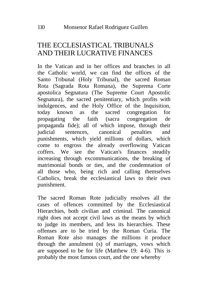# THE ECCLESIASTICAL TRIBUNALS AND THEIR LUCRATIVE FINANCES

In the Vatican and in her offices and branches in all the Catholic world, we can find the offices of the Santo Tribunal (Holy Tribunal), the sacred Roman Rota (Sagrada Rota Romana), the Suprema Corte apostolica Segnatura (The Supreme Court Apostolic Segnatura), the sacred penitentiary, which profits with indulgences, and the Holy Office of the Inquisition, today known as the sacred congregation for propagating the faith (sacra congregation de propaganda fide); all of which impose, through their judicial sentences, canonical penalties and punishments, which yield millions of dollars, which come to engross the already overflowing Vatican coffers. We see the Vatican's finances steadily increasing through excommunications, the breaking of matrimonial bonds or ties, and the condemnation of all those who, being rich and calling themselves Catholics, break the ecclesiastical laws to their own punishment.

The sacred Roman Rote judicially resolves all the cases of offences committed by the Ecclesiastical Hierarchies, both civilian and criminal. The canonical right does not accept civil laws as the means by which to judge its members, and less its hierarchies. These offenses are to be tried by the Roman Curia. The Roman Rote also manages the millions it produce through the annulment (s) of marriages, vows which are supposed to be for life (Matthew 19: 4-6). This is probably the most famous court, and the one whereby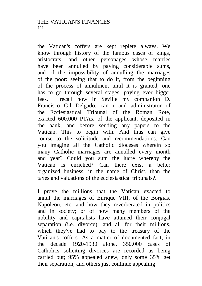the Vatican's coffers are kept replete always. We know through history of the famous cases of kings, aristocrats, and other personages whose marries have been annulled by paying considerable sums, and of the impossibility of annulling the marriages of the poor: seeing that to do it, from the beginning of the process of annulment until it is granted, one has to go through several stages, paying ever bigger fees. I recall how in Seville my companion D. Francisco Gil Delgado, canon and administrator of the Ecclesiastical Tribunal of the Roman Rote, exacted 600.000 PTAs. of the applicant, deposited in the bank, and before sending any papers to the Vatican. This to begin with. And thus can give course to the solicitude and recommendations. Can you imagine all the Catholic dioceses wherein so many Catholic marriages are annulled every month and year? Could you sum the lucre whereby the Vatican is enriched? Can there exist a better organized business, in the name of Christ, than the taxes and valuations of the ecclesiastical tribunals?.

I prove the millions that the Vatican exacted to annul the marriages of Enrique VIII, of the Borgias, Napoleon, etc, and how they reverberated in politics and in society; or of how many members of the nobility and capitalists have attained their conjugal separation (i.e. divorce): and all for their millions, which they've had to pay to the treasury of the Vatican's coffers. As a matter of documented fact, in the decade 1920-1930 alone, 350,000 cases of Catholics soliciting divorces are recorded as being carried out; 95% appealed anew, only some 35% get their separation; and others just continue appealing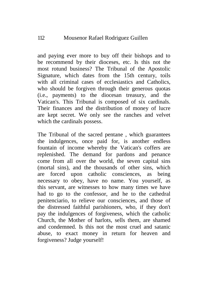#### 112 Mousenor Rafael Rodriguez Guillen

and paying ever more to buy off their bishops and to be recommend by their dioceses, etc. Is this not the most rotund business? The Tribunal of the Apostolic Signature, which dates from the 15th century, toils with all criminal cases of ecclesiastics and Catholics, who should be forgiven through their generous quotas (i.e., payments) to the diocesan treasury, and the Vatican's. This Tribunal is composed of six cardinals. Their finances and the distribution of money of lucre are kept secret. We only see the ranches and velvet which the cardinals possess.

The Tribunal of the sacred pentane , which guarantees the indulgences, once paid for, is another endless fountain of income whereby the Vatican's coffers are replenished. The demand for pardons and penance come from all over the world, the seven capital sins (mortal sins), and the thousands of other sins, which are forced upon catholic consciences, as being necessary to obey, have no name. You yourself, as this servant, are witnesses to how many times we have had to go to the confessor, and he to the cathedral penitenciario, to relieve our consciences, and those of the distressed faithful parishioners, who, if they don't pay the indulgences of forgiveness, which the catholic Church, the Mother of harlots, sells them, are shamed and condemned. Is this not the most cruel and satanic abuse, to exact money in return for heaven and forgiveness? Judge yourself!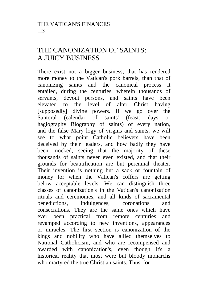## THE CANONIZATION OF SAINTS: A JUICY BUSINESS

There exist not a bigger business, that has rendered more money to the Vatican's pork barrels, than that of canonizing saints and the canonical process it entailed, during the centuries, wherein thousands of servants, devout persons, and saints have been elevated to the level of alter Christ having [supposedly] divine powers. If we go over the Santoral (calendar of saints' (feast) days or hagiography Biography of saints) of every nation, and the false Mary logy of virgins and saints, we will see to what point Catholic believers have been deceived by their leaders, and how badly they have been mocked, seeing that the majority of these thousands of saints never even existed, and that their grounds for beautification are but perennial theater. Their invention is nothing but a sack or fountain of money for when the Vatican's coffers are getting below acceptable levels. We can distinguish three classes of canonization's in the Vatican's canonization rituals and ceremonies, and all kinds of sacramental benedictions, indulgences, coronations and consecrations. They are the same ones which have ever been practical from remote centuries and revamped according to new inventions, appearances or miracles. The first section is canonization of the kings and nobility who have allied themselves to National Catholicism, and who are recompensed and awarded with canonization's, even though it's a historical reality that most were but bloody monarchs who martyred the true Christian saints. Thus, for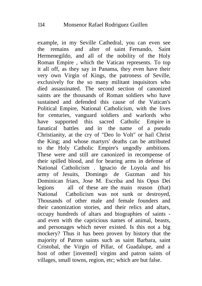example, in my Seville Cathedral, you can even see the remains and alter of saint Fernando, Saint Hermenegildo, and all of the nobility of the Holy Roman Empire , which the Vatican represents. To top it all off, as they say in Panama, they even have their very own Virgin of Kings, the patroness of Seville, exclusively for the so many militant inquisitors who died assassinated. The second section of canonized saints are the thousands of Roman soldiers who have sustained and defended this cause of the Vatican's Political Empire, National Catholicism, with the lives for centuries, vanguard soldiers and warlords who have supported this sacred Catholic Empire in fanatical battles and in the name of a pseudo Christianity, at the cry of "Deo lo Volt" or hail Christ the King; and whose martyrs' deaths can be attributed to the Holy Catholic Empire's ungodly ambitions. These were and still are canonized in recompense of their spilled blood, and for bearing arms in defense of National Catholicism . Ignacio de Loyola and his army of Jesuits, Domingo de Guzman and his Dominican friars, Jose M. Escriba and his Opus Dei legions all of these are the main reason (that) National Catholicism was not sunk or destroyed, Thousands of other male and female founders and their canonization stories, and their relics and altars, occupy hundreds of altars and biographies of saints and even with the capricious names of animal, beasts, and personages which never existed. Is this not a big mockery? Thus it has been proven by history that the majority of Patron saints such as saint Barbara, saint Cristobal, the Virgin of Pillar, of Guadalupe, and a host of other [invented] virgins and patron saints of villages, small towns, region, etc; which are but false.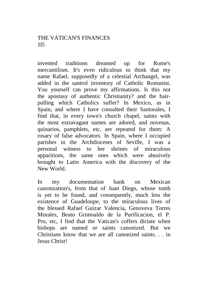#### THE VATICAN'S FINANCES 115

invented traditions dreamed up for Rome's mercantilism. It's even ridiculous to think that my name Rafael, supposedly of a celestial Archangel, was added in the santrol inventory of Catholic Romanist. You yourself can prove my affirmations. Is this not the apostasy of authentic Christianity? and the hairpulling which Catholics suffer? In Mexico, as in Spain, and where I have consulted their Santorales, I find that, in every town's church chapel, saints with the most extravagant names are adored, and novenas, quinarios, pamphlets, etc, are repeated for them: A rosary of false advocators. In Spain, where I occupied parishes in the Archdioceses of Seville, I was a personal witness to her shrines of miraculous apparitions, the same ones which were abusively brought to Latin America with the discovery of the New World.

In my documentation bank on Mexican canonization's, from that of Juan Diego, whose tomb is yet to be found, and consequently, much less the existence of Guadeloupe, to the miraculous lives of the blessed Rafael Guizar Valencia, Genoveva Torres Morales, Beato Grimoaldo de la Purificacion, el P. Pro, etc, I find that the Vatican's coffers dictate when bishops are named or saints canonized. But we Christians know that we are all canonized saints. . . in Jesus Christ!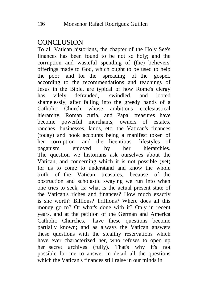### **CONCLUSION**

To all Vatican historians, the chapter of the Holy See's finances has been found to be not so holy; and the corruption and wasteful spending of (the) believers' offerings made to God, which ought to be used to help the poor and for the spreading of the gospel, according to the recommendations and teachings of Jesus in the Bible, are typical of how Rome's clergy has vilely defrauded, swindled, and looted shamelessly, after falling into the greedy hands of a Catholic Church whose ambitious ecclesiastical hierarchy, Roman curia, and Papal treasures have become powerful merchants, owners of estates, ranches, businesses, lands, etc, the Vatican's finances (today) and book accounts being a manifest token of her corruption and the licentious lifestyles of paganism enjoyed by her hierarchies. The question we historians ask ourselves about the Vatican, and concerning which it is not possible (yet) for us to come to understand and know the whole truth of the Vatican treasures, because of the obstruction and scholastic swaying we run into when one tries to seek, is: what is the actual present state of the Vatican's riches and finances? How much exactly is she worth? Billions? Trillions? Where does all this money go to? Or what's done with it? Only in recent years, and at the petition of the German and America Catholic Churches, have these questions become partially known; and as always the Vatican answers these questions with the stealthy reservations which have ever characterized her, who refuses to open up her secret archives (fully). That's why it's not possible for me to answer in detail all the questions which the Vatican's finances still raise in our minds in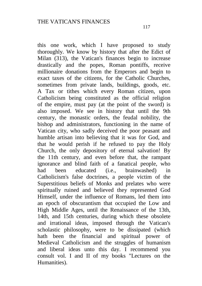this one work, which I have proposed to study thoroughly. We know by history that after the Edict of Milan (313), the Vatican's finances begin to increase drastically and the popes, Roman pontiffs, receive millionaire donations from the Emperors and begin to exact taxes of the citizens, for the Catholic Churches, sometimes from private lands, buildings, goods, etc. A Tax or tithes which every Roman citizen, upon Catholicism being constituted as the official religion of the empire, must pay (at the point of the sword) is also imposed. We see in history that until the 9th century, the monastic orders, the feudal nobility, the bishop and administrators, functioning in the name of Vatican city, who sadly deceived the poor peasant and humble artisan into believing that it was for God, and that he would perish if he refused to pay the Holy Church, the only depository of eternal salvation! By the 11th century, and even before that, the rampant ignorance and blind faith of a fanatical people, who had been educated (i.e., brainwashed) in Catholicism's false doctrines, a people victim of the Superstitious beliefs of Monks and prelates who were spiritually ruined and believed they represented God Himself, under the influence of Romans, led them into an epoch of obscurantism that occupied the Low and High Middle Ages, until the Renaissance of the 13th, 14th, and 15th centuries, during which these obsolete and irrational ideas, imposed through the Vatican's scholastic philosophy, were to be dissipated (which hath been the financial and spiritual power of Medieval Catholicism and the struggles of humanism and liberal ideas unto this day. I recommend you consult vol. I and II of my books "Lectures on the Humanities).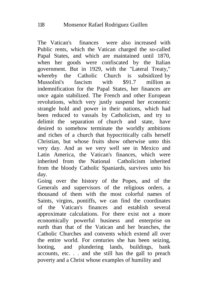The Vatican's finances were also increased with Public rents, which the Vatican charged the so-called Papal States, and which are maintained until 1870, when her goods were confiscated by the Italian government. But in 1929, with the "Lateral Treaty," whereby the Catholic Church is subsidized by<br>Mussolini's fascism with \$91.7 million as Mussolini's fascism with \$91.7 million as indemnification for the Papal States, her finances are once again stabilized. The French and other European revolutions, which very justly suspend her economic strangle hold and power in their nations, which had been reduced to vassals by Catholicism, and try to delimit the separation of church and state, have desired to somehow terminate the worldly ambitions and riches of a church that hypocritically calls herself Christian, but whose fruits show otherwise unto this very day. And as we very well see in Mexico and Latin America, the Vatican's finances, which were inherited from the National Catholicism inherited from the bloody Catholic Spaniards, survives unto his day.

Going over the history of the Popes, and of the Generals and supervisors of the religious orders, a thousand of them with the most colorful names of Saints, virgins, pontiffs, we can find the coordinates of the Vatican's finances and establish several approximate calculations. For there exist not a more economically powerful business and enterprise on earth than that of the Vatican and her branches, the Catholic Churches and convents which extend all over the entire world. For centuries she has been seizing, looting, and plundering lands, buildings, bank accounts, etc. . . and she still has the gall to preach poverty and a Christ whose examples of humility and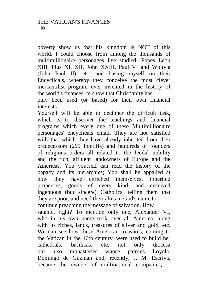poverty show us that his kingdom is NOT of this world. I could choose from among the thousands of multimillionaire personages I've studied: Popes Leon XIII, Pius XI, XII, John XXIII, Paul VI and Wojtyla (John Paul II), etc, and basing myself on their Encyclicals, whereby they conceive the most clever mercantilist program ever invented in the history of the world's finances, to show that Christianity has

only been used (or based) for their own financial interests.

Yourself will be able to decipher the difficult task, which is to discover the teachings and financial programs which every one of these Multimillionaire personages' encyclicals entail. They are not satisfied with that which they have already inherited from their predecessors (299 Pontiffs) and hundreds of founders of religious orders all related to the feudal nobility and the rich, affluent landowners of Europe and the Americas. You yourself can read the history of the papacy and its hierarchies; You shall be appalled at how they have enriched themselves, inherited properties, goods of every kind, and deceived ingenuous (but sincere) Catholics, telling them that they are poor, and need their alms in God's name to continue preaching the message of salvation. How satanic, right? To mention only one, Alexander VI, who in his own name took over all America, along with its riches, lands, treasures of silver and gold, etc. We can see how these American treasures, coming to the Vatican in the 16th century, were used to build her cathedrals, basilicas, etc, not only diocesa but also monasteries whose patrons Loyola, Domingo de Guzman and, recently, J. M. Escriva, became the owners of multinational companies,